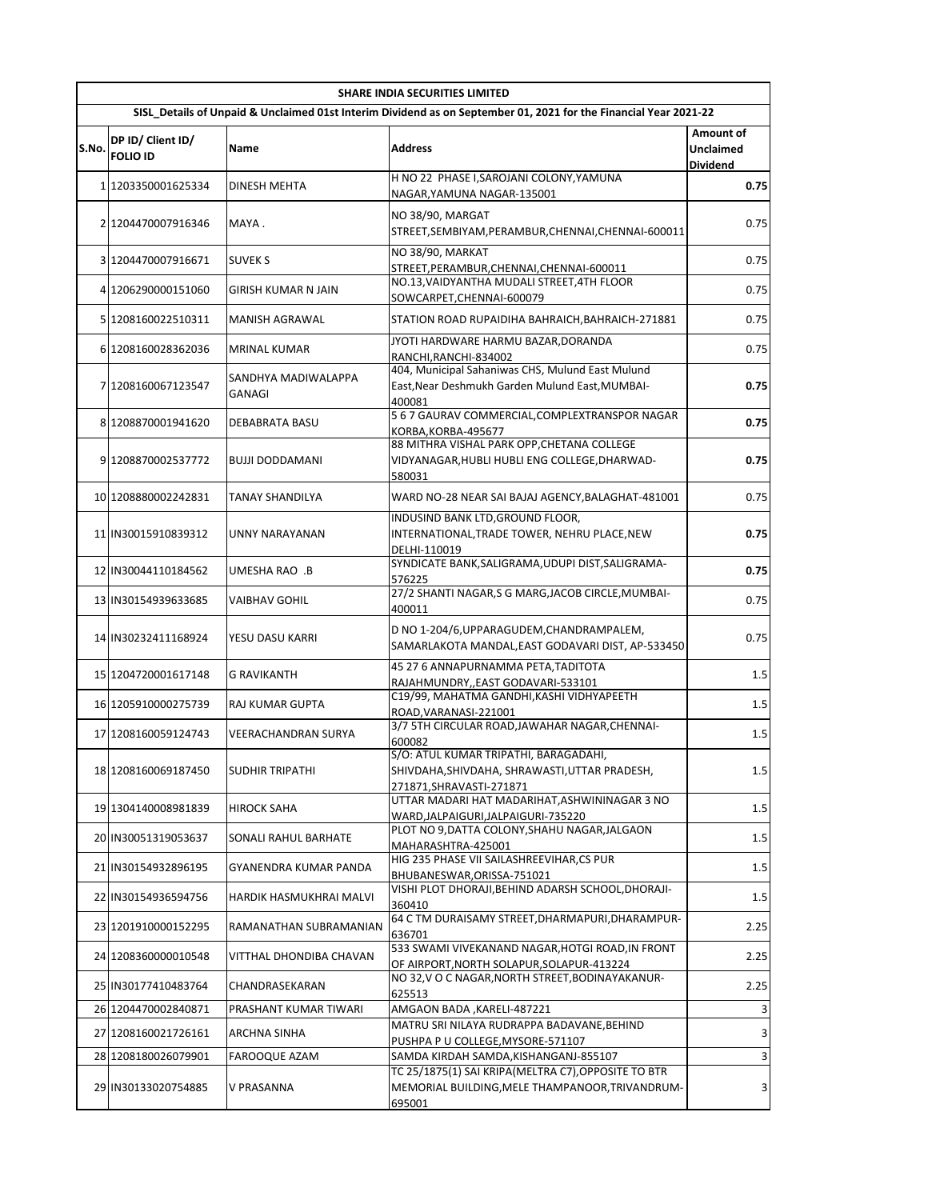|       | <b>SHARE INDIA SECURITIES LIMITED</b> |                               |                                                                                                                    |                                           |  |
|-------|---------------------------------------|-------------------------------|--------------------------------------------------------------------------------------------------------------------|-------------------------------------------|--|
|       |                                       |                               | SISL Details of Unpaid & Unclaimed 01st Interim Dividend as on September 01, 2021 for the Financial Year 2021-22   |                                           |  |
| S.No. | DP ID/ Client ID/<br><b>FOLIO ID</b>  | Name                          | <b>Address</b>                                                                                                     | Amount of<br>Unclaimed<br><b>Dividend</b> |  |
|       | 1 1203350001625334                    | DINESH MEHTA                  | H NO 22 PHASE I, SAROJANI COLONY, YAMUNA<br>NAGAR, YAMUNA NAGAR-135001                                             | 0.75                                      |  |
|       | 2 1204470007916346                    | MAYA.                         | NO 38/90, MARGAT<br>STREET, SEMBIYAM, PERAMBUR, CHENNAI, CHENNAI-600011                                            | 0.75                                      |  |
|       | 3 1204470007916671                    | <b>SUVEK S</b>                | NO 38/90, MARKAT<br>STREET, PERAMBUR, CHENNAI, CHENNAI-600011                                                      | 0.75                                      |  |
|       | 4 1206290000151060                    | GIRISH KUMAR N JAIN           | NO.13, VAIDYANTHA MUDALI STREET, 4TH FLOOR<br>SOWCARPET, CHENNAI-600079                                            | 0.75                                      |  |
|       | 5 1208160022510311                    | <b>MANISH AGRAWAL</b>         | STATION ROAD RUPAIDIHA BAHRAICH, BAHRAICH-271881                                                                   | 0.75                                      |  |
|       | 6 1208160028362036                    | MRINAL KUMAR                  | JYOTI HARDWARE HARMU BAZAR, DORANDA<br>RANCHI, RANCHI-834002                                                       | 0.75                                      |  |
|       | 7 1208160067123547                    | SANDHYA MADIWALAPPA<br>GANAGI | 404, Municipal Sahaniwas CHS, Mulund East Mulund<br>East, Near Deshmukh Garden Mulund East, MUMBAI-<br>400081      | 0.75                                      |  |
|       | 8 1208870001941620                    | DEBABRATA BASU                | 5 6 7 GAURAV COMMERCIAL, COMPLEXTRANSPOR NAGAR<br>KORBA, KORBA-495677                                              | 0.75                                      |  |
|       | 9 1208870002537772                    | <b>BUJJI DODDAMANI</b>        | 88 MITHRA VISHAL PARK OPP, CHETANA COLLEGE<br>VIDYANAGAR, HUBLI HUBLI ENG COLLEGE, DHARWAD-<br>580031              | 0.75                                      |  |
|       | 10 1208880002242831                   | TANAY SHANDILYA               | WARD NO-28 NEAR SAI BAJAJ AGENCY, BALAGHAT-481001                                                                  | 0.75                                      |  |
|       | 11 IN30015910839312                   | UNNY NARAYANAN                | INDUSIND BANK LTD, GROUND FLOOR,<br>INTERNATIONAL, TRADE TOWER, NEHRU PLACE, NEW<br>DELHI-110019                   | 0.75                                      |  |
|       | 12 IN30044110184562                   | UMESHA RAO .B                 | SYNDICATE BANK, SALIGRAMA, UDUPI DIST, SALIGRAMA-<br>576225                                                        | 0.75                                      |  |
|       | 13 IN30154939633685                   | VAIBHAV GOHIL                 | 27/2 SHANTI NAGAR, S G MARG, JACOB CIRCLE, MUMBAI-<br>400011                                                       | 0.75                                      |  |
|       | 14 IN30232411168924                   | YESU DASU KARRI               | D NO 1-204/6, UPPARAGUDEM, CHANDRAMPALEM,<br>SAMARLAKOTA MANDAL, EAST GODAVARI DIST, AP-533450                     | 0.75                                      |  |
|       | 15 1204720001617148                   | <b>G RAVIKANTH</b>            | 45 27 6 ANNAPURNAMMA PETA, TADITOTA<br>RAJAHMUNDRY,, EAST GODAVARI-533101                                          | 1.5                                       |  |
|       | 16 1205910000275739                   | <b>RAJ KUMAR GUPTA</b>        | C19/99, MAHATMA GANDHI, KASHI VIDHYAPEETH<br>ROAD, VARANASI-221001                                                 | 1.5                                       |  |
|       | 17 1208160059124743                   | VEERACHANDRAN SURYA           | 3/7 5TH CIRCULAR ROAD, JAWAHAR NAGAR, CHENNAI-<br>600082                                                           | 1.5                                       |  |
|       | 18 1208160069187450                   | <b>SUDHIR TRIPATHI</b>        | S/O: ATUL KUMAR TRIPATHI, BARAGADAHI,<br>SHIVDAHA, SHIVDAHA, SHRAWASTI, UTTAR PRADESH,<br>271871, SHRAVASTI-271871 | 1.5                                       |  |
|       | 19 1304140008981839                   | <b>HIROCK SAHA</b>            | UTTAR MADARI HAT MADARIHAT, ASHWININAGAR 3 NO<br>WARD, JALPAIGURI, JALPAIGURI-735220                               | 1.5                                       |  |
|       | 20 IN30051319053637                   | SONALI RAHUL BARHATE          | PLOT NO 9, DATTA COLONY, SHAHU NAGAR, JALGAON<br>MAHARASHTRA-425001                                                | 1.5                                       |  |
|       | 21 IN30154932896195                   | GYANENDRA KUMAR PANDA         | HIG 235 PHASE VII SAILASHREEVIHAR, CS PUR<br>BHUBANESWAR, ORISSA-751021                                            | 1.5                                       |  |
|       | 22 IN30154936594756                   | HARDIK HASMUKHRAI MALVI       | VISHI PLOT DHORAJI, BEHIND ADARSH SCHOOL, DHORAJI-<br>360410                                                       | 1.5                                       |  |
|       | 23 1201910000152295                   | RAMANATHAN SUBRAMANIAN        | 64 C TM DURAISAMY STREET, DHARMAPURI, DHARAMPUR-<br>636701                                                         | 2.25                                      |  |
|       | 24 1208360000010548                   | VITTHAL DHONDIBA CHAVAN       | 533 SWAMI VIVEKANAND NAGAR, HOTGI ROAD, IN FRONT<br>OF AIRPORT, NORTH SOLAPUR, SOLAPUR-413224                      | 2.25                                      |  |
|       | 25 IN30177410483764                   | CHANDRASEKARAN                | NO 32, V O C NAGAR, NORTH STREET, BODINAYAKANUR-<br>625513                                                         | 2.25                                      |  |
|       | 26 1204470002840871                   | PRASHANT KUMAR TIWARI         | AMGAON BADA , KARELI-487221                                                                                        | 3                                         |  |
|       | 27 1208160021726161                   | ARCHNA SINHA                  | MATRU SRI NILAYA RUDRAPPA BADAVANE, BEHIND<br>PUSHPA P U COLLEGE, MYSORE-571107                                    | 3                                         |  |
|       | 28 1208180026079901                   | FAROOQUE AZAM                 | SAMDA KIRDAH SAMDA, KISHANGANJ-855107                                                                              | 3                                         |  |
|       | 29 IN30133020754885                   | V PRASANNA                    | TC 25/1875(1) SAI KRIPA(MELTRA C7), OPPOSITE TO BTR<br>MEMORIAL BUILDING, MELE THAMPANOOR, TRIVANDRUM-<br>695001   | 3                                         |  |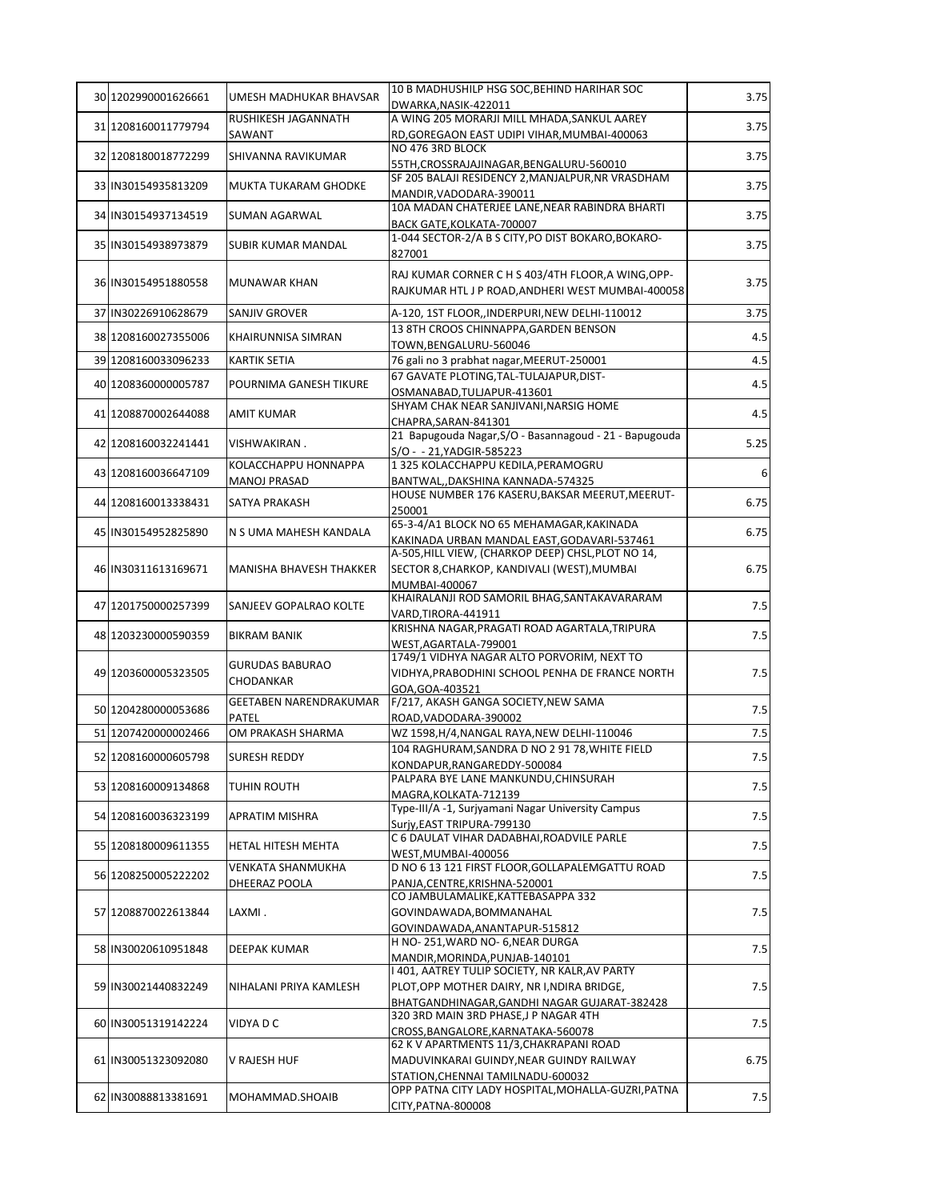| 30 1202990001626661 | <b>UMESH MADHUKAR BHAVSAR</b>       | 10 B MADHUSHILP HSG SOC, BEHIND HARIHAR SOC                                                             | 3.75 |
|---------------------|-------------------------------------|---------------------------------------------------------------------------------------------------------|------|
|                     | RUSHIKESH JAGANNATH                 | DWARKA, NASIK-422011<br>A WING 205 MORARJI MILL MHADA, SANKUL AAREY                                     |      |
| 31 1208160011779794 | SAWANT                              | RD, GOREGAON EAST UDIPI VIHAR, MUMBAI-400063                                                            | 3.75 |
| 32 1208180018772299 | SHIVANNA RAVIKUMAR                  | NO 476 3RD BLOCK                                                                                        | 3.75 |
|                     |                                     | 55TH, CROSSRAJAJINAGAR, BENGALURU-560010                                                                |      |
| 33 IN30154935813209 | MUKTA TUKARAM GHODKE                | SF 205 BALAJI RESIDENCY 2, MANJALPUR, NR VRASDHAM<br>MANDIR, VADODARA-390011                            | 3.75 |
| 34 IN30154937134519 | SUMAN AGARWAL                       | 10A MADAN CHATERJEE LANE, NEAR RABINDRA BHARTI<br>BACK GATE, KOLKATA-700007                             | 3.75 |
|                     |                                     | 1-044 SECTOR-2/A B S CITY, PO DIST BOKARO, BOKARO-                                                      |      |
| 35 IN30154938973879 | SUBIR KUMAR MANDAL                  | 827001                                                                                                  | 3.75 |
| 36 IN30154951880558 | <b>MUNAWAR KHAN</b>                 | RAJ KUMAR CORNER C H S 403/4TH FLOOR, A WING, OPP-<br>RAJKUMAR HTL J P ROAD, ANDHERI WEST MUMBAI-400058 | 3.75 |
| 37 IN30226910628679 | SANJIV GROVER                       | A-120, 1ST FLOOR,, INDERPURI, NEW DELHI-110012                                                          | 3.75 |
| 38 1208160027355006 | KHAIRUNNISA SIMRAN                  | 13 8TH CROOS CHINNAPPA, GARDEN BENSON                                                                   | 4.5  |
|                     |                                     | TOWN, BENGALURU-560046                                                                                  |      |
| 39 1208160033096233 | <b>KARTIK SETIA</b>                 | 76 gali no 3 prabhat nagar, MEERUT-250001<br>67 GAVATE PLOTING, TAL-TULAJAPUR, DIST-                    | 4.5  |
| 40 1208360000005787 | POURNIMA GANESH TIKURE              | OSMANABAD, TULJAPUR-413601                                                                              | 4.5  |
|                     |                                     | SHYAM CHAK NEAR SANJIVANI, NARSIG HOME                                                                  |      |
| 41 1208870002644088 | <b>AMIT KUMAR</b>                   | CHAPRA, SARAN-841301                                                                                    | 4.5  |
| 42 1208160032241441 | VISHWAKIRAN.                        | 21 Bapugouda Nagar, S/O - Basannagoud - 21 - Bapugouda                                                  | 5.25 |
|                     | KOLACCHAPPU HONNAPPA                | S/O - - 21, YADGIR-585223<br>1 325 KOLACCHAPPU KEDILA, PERAMOGRU                                        |      |
| 43 1208160036647109 | MANOJ PRASAD                        | BANTWAL, DAKSHINA KANNADA-574325                                                                        | 6    |
|                     |                                     | HOUSE NUMBER 176 KASERU, BAKSAR MEERUT, MEERUT-                                                         |      |
| 44 1208160013338431 | SATYA PRAKASH                       | 250001                                                                                                  | 6.75 |
| 45 IN30154952825890 | N S UMA MAHESH KANDALA              | 65-3-4/A1 BLOCK NO 65 MEHAMAGAR, KAKINADA                                                               | 6.75 |
|                     |                                     | KAKINADA URBAN MANDAL EAST, GODAVARI-537461<br>A-505, HILL VIEW, (CHARKOP DEEP) CHSL, PLOT NO 14,       |      |
| 46 IN30311613169671 | MANISHA BHAVESH THAKKER             | SECTOR 8, CHARKOP, KANDIVALI (WEST), MUMBAI                                                             | 6.75 |
|                     |                                     | MUMBAI-400067                                                                                           |      |
| 47 1201750000257399 | SANJEEV GOPALRAO KOLTE              | KHAIRALANJI ROD SAMORIL BHAG, SANTAKAVARARAM                                                            | 7.5  |
|                     |                                     | VARD, TIRORA-441911                                                                                     |      |
| 48 1203230000590359 | BIKRAM BANIK                        | KRISHNA NAGAR, PRAGATI ROAD AGARTALA, TRIPURA<br>WEST,AGARTALA-799001                                   | 7.5  |
|                     |                                     | 1749/1 VIDHYA NAGAR ALTO PORVORIM, NEXT TO                                                              |      |
| 49 1203600005323505 | <b>GURUDAS BABURAO</b><br>CHODANKAR | VIDHYA, PRABODHINI SCHOOL PENHA DE FRANCE NORTH                                                         | 7.5  |
|                     |                                     | GOA, GOA-403521                                                                                         |      |
| 50 1204280000053686 | GEETABEN NARENDRAKUMAR              | F/217, AKASH GANGA SOCIETY, NEW SAMA                                                                    | 7.5  |
| 51 1207420000002466 | PATEL<br>OM PRAKASH SHARMA          | ROAD, VADODARA-390002<br>WZ 1598, H/4, NANGAL RAYA, NEW DELHI-110046                                    | 7.5  |
|                     |                                     | 104 RAGHURAM, SANDRA D NO 2 91 78, WHITE FIELD                                                          |      |
| 52 1208160000605798 | <b>SURESH REDDY</b>                 | KONDAPUR, RANGAREDDY-500084                                                                             | 7.5  |
| 53 1208160009134868 | TUHIN ROUTH                         | PALPARA BYE LANE MANKUNDU, CHINSURAH                                                                    | 7.5  |
|                     |                                     | MAGRA, KOLKATA-712139                                                                                   |      |
| 54 1208160036323199 | APRATIM MISHRA                      | Type-III/A -1, Surjyamani Nagar University Campus<br>Suriy, EAST TRIPURA-799130                         | 7.5  |
|                     |                                     | C 6 DAULAT VIHAR DADABHAI, ROADVILE PARLE                                                               |      |
| 55 1208180009611355 | HETAL HITESH MEHTA                  | WEST,MUMBAI-400056                                                                                      | 7.5  |
| 56 1208250005222202 | VENKATA SHANMUKHA                   | D NO 6 13 121 FIRST FLOOR, GOLLAPALEMGATTU ROAD                                                         | 7.5  |
|                     | DHEERAZ POOLA                       | PANJA, CENTRE, KRISHNA-520001<br>CO JAMBULAMALIKE, KATTEBASAPPA 332                                     |      |
| 57 1208870022613844 | LAXMI.                              | GOVINDAWADA, BOMMANAHAL                                                                                 | 7.5  |
|                     |                                     | GOVINDAWADA, ANANTAPUR-515812                                                                           |      |
| 58 IN30020610951848 | DEEPAK KUMAR                        | H NO-251, WARD NO-6, NEAR DURGA                                                                         | 7.5  |
|                     |                                     | MANDIR, MORINDA, PUNJAB-140101                                                                          |      |
| 59 IN30021440832249 | NIHALANI PRIYA KAMLESH              | I 401, AATREY TULIP SOCIETY, NR KALR, AV PARTY<br>PLOT, OPP MOTHER DAIRY, NR I, NDIRA BRIDGE,           | 7.5  |
|                     |                                     | BHATGANDHINAGAR, GANDHI NAGAR GUJARAT-382428                                                            |      |
| 60 IN30051319142224 | VIDYA D C                           | 320 3RD MAIN 3RD PHASE, J P NAGAR 4TH                                                                   | 7.5  |
|                     |                                     | CROSS, BANGALORE, KARNATAKA-560078                                                                      |      |
|                     |                                     | 62 K V APARTMENTS 11/3, CHAKRAPANI ROAD                                                                 |      |
| 61 IN30051323092080 | V RAJESH HUF                        | MADUVINKARAI GUINDY, NEAR GUINDY RAILWAY<br>STATION, CHENNAI TAMILNADU-600032                           | 6.75 |
|                     |                                     | OPP PATNA CITY LADY HOSPITAL, MOHALLA-GUZRI, PATNA                                                      |      |
| 62 IN30088813381691 | MOHAMMAD.SHOAIB                     | CITY, PATNA-800008                                                                                      | 7.5  |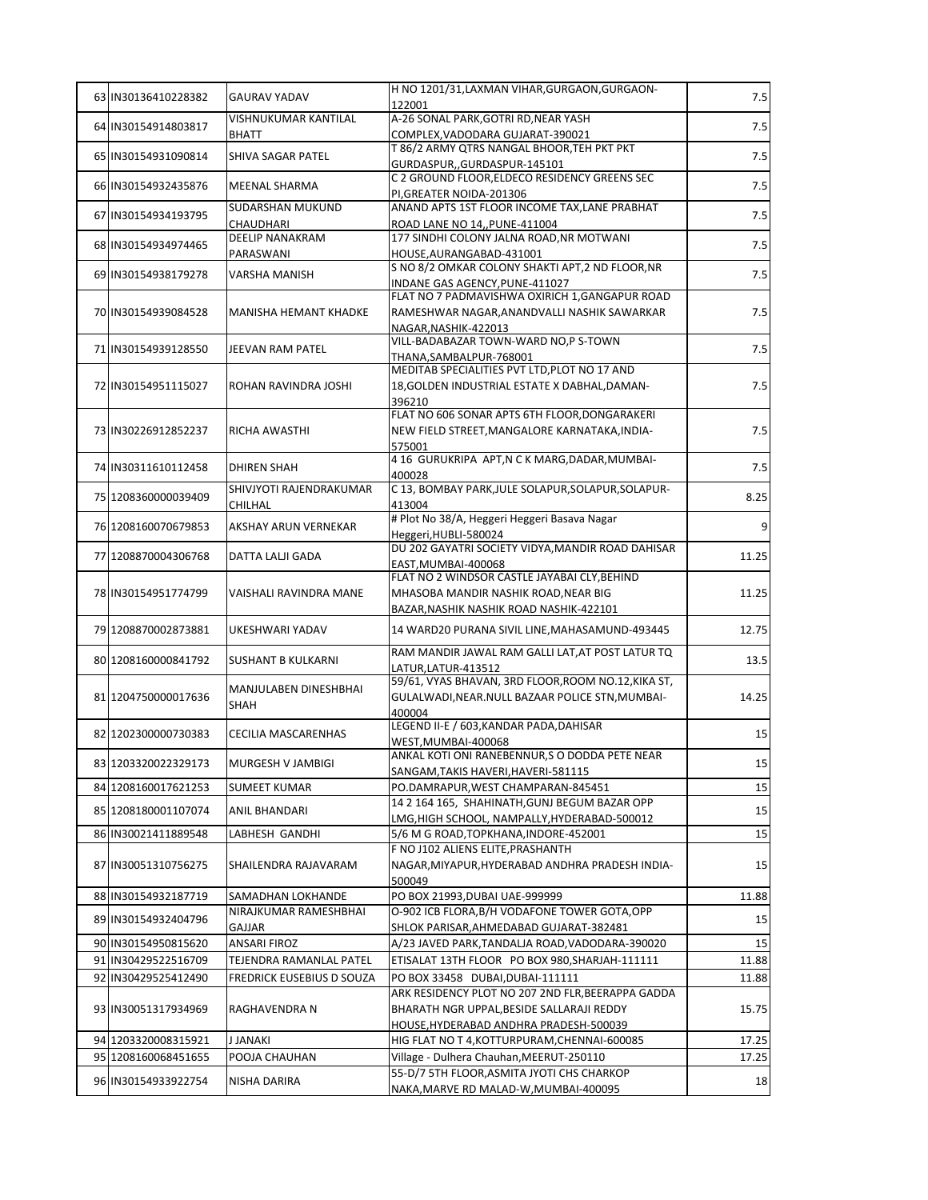| 63 IN30136410228382 | <b>GAURAV YADAV</b>       | H NO 1201/31, LAXMAN VIHAR, GURGAON, GURGAON-                                  | 7.5   |
|---------------------|---------------------------|--------------------------------------------------------------------------------|-------|
|                     |                           | 122001                                                                         |       |
| 64 IN30154914803817 | VISHNUKUMAR KANTILAL      | A-26 SONAL PARK, GOTRI RD, NEAR YASH                                           | 7.5   |
|                     | BHATT                     | COMPLEX, VADODARA GUJARAT-390021<br>T 86/2 ARMY QTRS NANGAL BHOOR, TEH PKT PKT |       |
| 65 IN30154931090814 | SHIVA SAGAR PATEL         | GURDASPUR,, GURDASPUR-145101                                                   | 7.5   |
|                     |                           | C 2 GROUND FLOOR, ELDECO RESIDENCY GREENS SEC                                  |       |
| 66 IN30154932435876 | <b>MEENAL SHARMA</b>      | PI, GREATER NOIDA-201306                                                       | 7.5   |
| 67 IN30154934193795 | SUDARSHAN MUKUND          | ANAND APTS 1ST FLOOR INCOME TAX, LANE PRABHAT                                  | 7.5   |
|                     | CHAUDHARI                 | ROAD LANE NO 14,, PUNE-411004                                                  |       |
| 68 IN30154934974465 | <b>DEELIP NANAKRAM</b>    | 177 SINDHI COLONY JALNA ROAD, NR MOTWANI                                       | 7.5   |
|                     | PARASWANI                 | HOUSE, AURANGABAD-431001<br>S NO 8/2 OMKAR COLONY SHAKTI APT, 2 ND FLOOR, NR   |       |
| 69 IN30154938179278 | VARSHA MANISH             | INDANE GAS AGENCY, PUNE-411027                                                 | 7.5   |
|                     |                           | FLAT NO 7 PADMAVISHWA OXIRICH 1, GANGAPUR ROAD                                 |       |
| 70 IN30154939084528 | MANISHA HEMANT KHADKE     | RAMESHWAR NAGAR, ANANDVALLI NASHIK SAWARKAR                                    | 7.5   |
|                     |                           | NAGAR, NASHIK-422013                                                           |       |
| 71 IN30154939128550 | JEEVAN RAM PATEL          | VILL-BADABAZAR TOWN-WARD NO,P S-TOWN                                           | 7.5   |
|                     |                           | THANA, SAMBALPUR-768001<br>MEDITAB SPECIALITIES PVT LTD, PLOT NO 17 AND        |       |
| 72 IN30154951115027 | ROHAN RAVINDRA JOSHI      | 18, GOLDEN INDUSTRIAL ESTATE X DABHAL, DAMAN-                                  | 7.5   |
|                     |                           | 396210                                                                         |       |
|                     |                           | FLAT NO 606 SONAR APTS 6TH FLOOR, DONGARAKERI                                  |       |
| 73 IN30226912852237 | RICHA AWASTHI             | NEW FIELD STREET, MANGALORE KARNATAKA, INDIA-                                  | 7.5   |
|                     |                           | 575001                                                                         |       |
| 74 IN30311610112458 | <b>DHIREN SHAH</b>        | 4 16 GURUKRIPA APT, N C K MARG, DADAR, MUMBAI-                                 | 7.5   |
|                     | SHIVJYOTI RAJENDRAKUMAR   | 400028                                                                         |       |
| 75 1208360000039409 | CHILHAL                   | C 13, BOMBAY PARK, JULE SOLAPUR, SOLAPUR, SOLAPUR-<br>413004                   | 8.25  |
|                     |                           | # Plot No 38/A, Heggeri Heggeri Basava Nagar                                   |       |
| 76 1208160070679853 | AKSHAY ARUN VERNEKAR      | Heggeri, HUBLI-580024                                                          | 9     |
| 77 1208870004306768 | DATTA LALJI GADA          | DU 202 GAYATRI SOCIETY VIDYA, MANDIR ROAD DAHISAR                              | 11.25 |
|                     |                           | EAST, MUMBAI-400068                                                            |       |
|                     |                           | FLAT NO 2 WINDSOR CASTLE JAYABAI CLY, BEHIND                                   |       |
| 78 IN30154951774799 | VAISHALI RAVINDRA MANE    | MHASOBA MANDIR NASHIK ROAD, NEAR BIG                                           | 11.25 |
|                     |                           | BAZAR, NASHIK NASHIK ROAD NASHIK-422101                                        |       |
| 79 1208870002873881 | UKESHWARI YADAV           | 14 WARD20 PURANA SIVIL LINE, MAHASAMUND-493445                                 | 12.75 |
|                     |                           | RAM MANDIR JAWAL RAM GALLI LAT, AT POST LATUR TQ                               |       |
| 80 1208160000841792 | <b>SUSHANT B KULKARNI</b> | LATUR, LATUR-413512                                                            | 13.5  |
|                     | MANJULABEN DINESHBHAI     | 59/61, VYAS BHAVAN, 3RD FLOOR, ROOM NO.12, KIKA ST,                            |       |
| 81 1204750000017636 | SHAH                      | GULALWADI, NEAR. NULL BAZAAR POLICE STN, MUMBAI-                               | 14.25 |
|                     |                           | 400004<br>LEGEND II-E / 603, KANDAR PADA, DAHISAR                              |       |
| 82 1202300000730383 | CECILIA MASCARENHAS       | WEST, MUMBAI-400068                                                            | 15    |
|                     |                           | ANKAL KOTI ONI RANEBENNUR,S O DODDA PETE NEAR                                  |       |
| 83 1203320022329173 | MURGESH V JAMBIGI         | SANGAM, TAKIS HAVERI, HAVERI-581115                                            | 15    |
| 84 1208160017621253 | SUMEET KUMAR              | PO.DAMRAPUR, WEST CHAMPARAN-845451                                             | 15    |
| 85 1208180001107074 | ANIL BHANDARI             | 14 2 164 165, SHAHINATH, GUNJ BEGUM BAZAR OPP                                  | 15    |
|                     |                           | LMG, HIGH SCHOOL, NAMPALLY, HYDERABAD-500012                                   |       |
| 86 IN30021411889548 | LABHESH GANDHI            | 5/6 M G ROAD, TOPKHANA, INDORE-452001                                          | 15    |
|                     |                           | F NO J102 ALIENS ELITE, PRASHANTH                                              |       |
| 87 IN30051310756275 | SHAILENDRA RAJAVARAM      | NAGAR, MIYAPUR, HYDERABAD ANDHRA PRADESH INDIA-<br>500049                      | 15    |
| 88 IN30154932187719 | SAMADHAN LOKHANDE         | PO BOX 21993, DUBAI UAE-999999                                                 | 11.88 |
|                     | NIRAJKUMAR RAMESHBHAI     | O-902 ICB FLORA, B/H VODAFONE TOWER GOTA, OPP                                  |       |
| 89 IN30154932404796 | GAJJAR                    | SHLOK PARISAR, AHMEDABAD GUJARAT-382481                                        | 15    |
| 90 IN30154950815620 | ANSARI FIROZ              | A/23 JAVED PARK,TANDALJA ROAD,VADODARA-390020                                  | 15    |
| 91 IN30429522516709 | TEJENDRA RAMANLAL PATEL   | ETISALAT 13TH FLOOR PO BOX 980, SHARJAH-111111                                 | 11.88 |
| 92 IN30429525412490 | FREDRICK EUSEBIUS D SOUZA | PO BOX 33458 DUBAI, DUBAI-111111                                               | 11.88 |
|                     |                           | ARK RESIDENCY PLOT NO 207 2ND FLR, BEERAPPA GADDA                              |       |
| 93 IN30051317934969 | RAGHAVENDRA N             | BHARATH NGR UPPAL, BESIDE SALLARAJI REDDY                                      | 15.75 |
|                     |                           | HOUSE, HYDERABAD ANDHRA PRADESH-500039                                         |       |
| 94 1203320008315921 | J JANAKI                  | HIG FLAT NO T 4, KOTTURPURAM, CHENNAI-600085                                   | 17.25 |
| 95 1208160068451655 | POOJA CHAUHAN             | Village - Dulhera Chauhan, MEERUT-250110                                       | 17.25 |
| 96 IN30154933922754 | NISHA DARIRA              | 55-D/7 5TH FLOOR, ASMITA JYOTI CHS CHARKOP                                     | 18    |
|                     |                           | NAKA, MARVE RD MALAD-W, MUMBAI-400095                                          |       |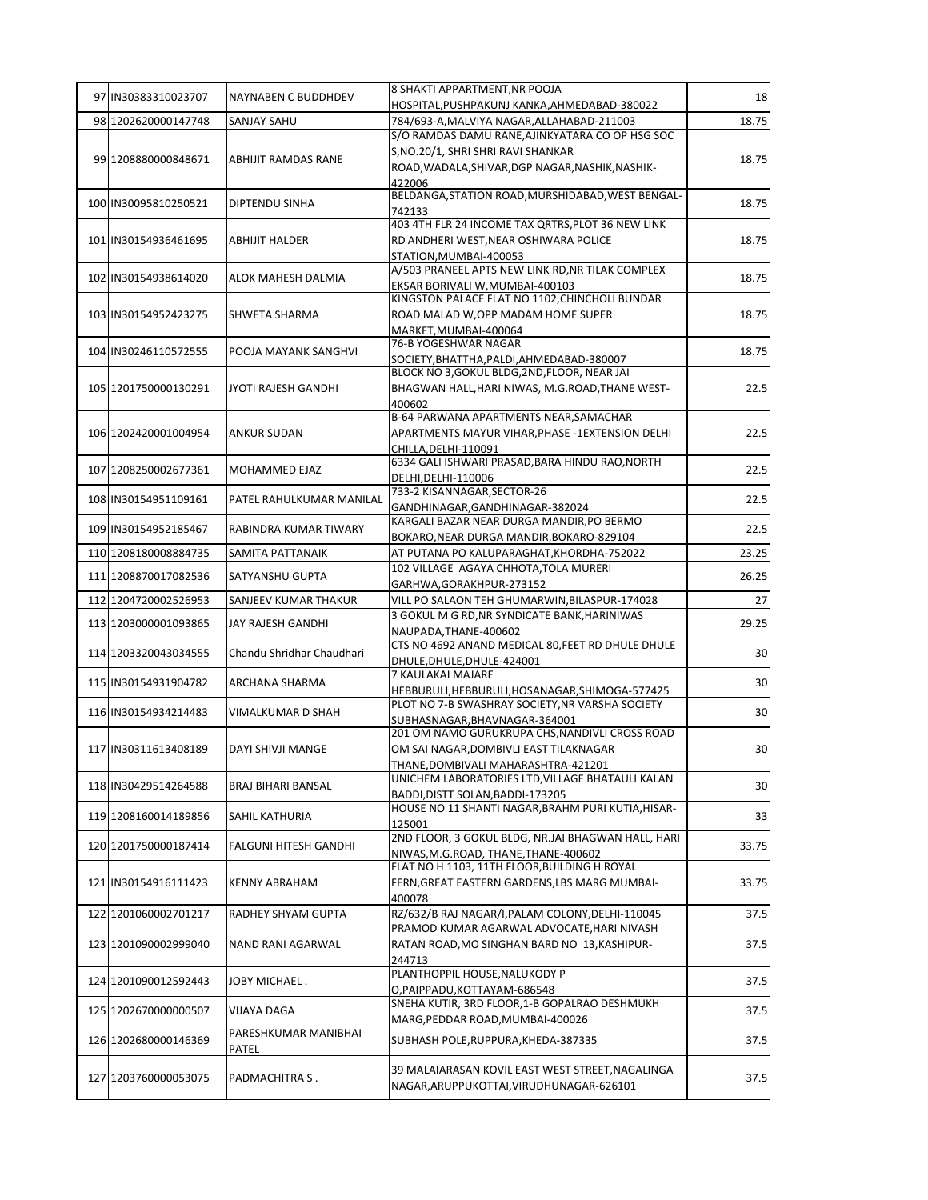| 97 IN30383310023707  | NAYNABEN C BUDDHDEV        | 8 SHAKTI APPARTMENT, NR POOJA                                                                 | 18           |
|----------------------|----------------------------|-----------------------------------------------------------------------------------------------|--------------|
| 98 1202620000147748  | SANJAY SAHU                | HOSPITAL, PUSHPAKUNJ KANKA, AHMEDABAD-380022                                                  | 18.75        |
|                      |                            | 784/693-A, MALVIYA NAGAR, ALLAHABAD-211003<br>S/O RAMDAS DAMU RANE, AJINKYATARA CO OP HSG SOC |              |
|                      |                            | S, NO.20/1, SHRI SHRI RAVI SHANKAR                                                            |              |
| 99 1208880000848671  | ABHIJIT RAMDAS RANE        | ROAD, WADALA, SHIVAR, DGP NAGAR, NASHIK, NASHIK-                                              | 18.75        |
|                      |                            | 422006                                                                                        |              |
| 100 IN30095810250521 | DIPTENDU SINHA             | BELDANGA, STATION ROAD, MURSHIDABAD, WEST BENGAL-                                             | 18.75        |
|                      |                            | 742133<br>403 4TH FLR 24 INCOME TAX QRTRS, PLOT 36 NEW LINK                                   |              |
| 101 IN30154936461695 | ABHIJIT HALDER             | RD ANDHERI WEST, NEAR OSHIWARA POLICE                                                         | 18.75        |
|                      |                            | STATION.MUMBAI-400053                                                                         |              |
|                      |                            | A/503 PRANEEL APTS NEW LINK RD, NR TILAK COMPLEX                                              |              |
| 102 IN30154938614020 | ALOK MAHESH DALMIA         | EKSAR BORIVALI W, MUMBAI-400103                                                               | 18.75        |
|                      |                            | KINGSTON PALACE FLAT NO 1102, CHINCHOLI BUNDAR                                                |              |
| 103 IN30154952423275 | SHWETA SHARMA              | ROAD MALAD W, OPP MADAM HOME SUPER                                                            | 18.75        |
|                      |                            | MARKET, MUMBAI-400064                                                                         |              |
| 104 IN30246110572555 | POOJA MAYANK SANGHVI       | 76-B YOGESHWAR NAGAR<br>SOCIETY, BHATTHA, PALDI, AHMEDABAD-380007                             | 18.75        |
|                      |                            | BLOCK NO 3, GOKUL BLDG, 2ND, FLOOR, NEAR JAI                                                  |              |
| 105 1201750000130291 | <b>JYOTI RAJESH GANDHI</b> | BHAGWAN HALL, HARI NIWAS, M.G.ROAD, THANE WEST-                                               | 22.5         |
|                      |                            | 400602                                                                                        |              |
|                      |                            | B-64 PARWANA APARTMENTS NEAR, SAMACHAR                                                        |              |
| 106 1202420001004954 | <b>ANKUR SUDAN</b>         | APARTMENTS MAYUR VIHAR, PHASE -1 EXTENSION DELHI                                              | 22.5         |
|                      |                            | CHILLA, DELHI-110091                                                                          |              |
| 107 1208250002677361 | MOHAMMED EJAZ              | 6334 GALI ISHWARI PRASAD, BARA HINDU RAO, NORTH                                               | 22.5         |
|                      |                            | DELHI, DELHI-110006                                                                           |              |
| 108 IN30154951109161 | PATEL RAHULKUMAR MANILAL   | 733-2 KISANNAGAR, SECTOR-26                                                                   | 22.5         |
|                      |                            | GANDHINAGAR, GANDHINAGAR-382024<br>KARGALI BAZAR NEAR DURGA MANDIR, PO BERMO                  |              |
| 109 IN30154952185467 | RABINDRA KUMAR TIWARY      | BOKARO, NEAR DURGA MANDIR, BOKARO-829104                                                      | 22.5         |
| 110 1208180008884735 | SAMITA PATTANAIK           | AT PUTANA PO KALUPARAGHAT, KHORDHA-752022                                                     | 23.25        |
|                      |                            | 102 VILLAGE AGAYA CHHOTA, TOLA MURERI                                                         |              |
| 111 1208870017082536 | SATYANSHU GUPTA            | GARHWA, GORAKHPUR-273152                                                                      | 26.25        |
| 112 1204720002526953 | SANJEEV KUMAR THAKUR       | VILL PO SALAON TEH GHUMARWIN, BILASPUR-174028                                                 | 27           |
| 113 1203000001093865 | JAY RAJESH GANDHI          | 3 GOKUL M G RD, NR SYNDICATE BANK, HARINIWAS                                                  | 29.25        |
|                      |                            | NAUPADA, THANE-400602                                                                         |              |
| 114 1203320043034555 | Chandu Shridhar Chaudhari  | CTS NO 4692 ANAND MEDICAL 80, FEET RD DHULE DHULE                                             | 30           |
|                      |                            | DHULE, DHULE, DHULE-424001<br>7 KAULAKAI MAJARE                                               |              |
| 115 IN30154931904782 | ARCHANA SHARMA             | HEBBURULI, HEBBURULI, HOSANAGAR, SHIMOGA-577425                                               | 30           |
|                      |                            | PLOT NO 7-B SWASHRAY SOCIETY.NR VARSHA SOCIETY                                                |              |
| 116 IN30154934214483 | VIMALKUMAR D SHAH          | SUBHASNAGAR, BHAVNAGAR-364001                                                                 | 30           |
|                      |                            | 201 OM NAMO GURUKRUPA CHS, NANDIVLI CROSS ROAD                                                |              |
| 117 IN30311613408189 | DAYI SHIVJI MANGE          | OM SAI NAGAR, DOMBIVLI EAST TILAKNAGAR                                                        | 30           |
|                      |                            | THANE, DOMBIVALI MAHARASHTRA-421201                                                           |              |
| 118 IN30429514264588 | <b>BRAJ BIHARI BANSAL</b>  | UNICHEM LABORATORIES LTD, VILLAGE BHATAULI KALAN                                              | 30           |
|                      |                            | BADDI, DISTT SOLAN, BADDI-173205<br>HOUSE NO 11 SHANTI NAGAR, BRAHM PURI KUTIA, HISAR-        |              |
| 119 1208160014189856 | <b>SAHIL KATHURIA</b>      | 125001                                                                                        | 33           |
|                      |                            | 2ND FLOOR, 3 GOKUL BLDG, NR.JAI BHAGWAN HALL, HARI                                            |              |
| 120 1201750000187414 | FALGUNI HITESH GANDHI      | NIWAS, M.G.ROAD, THANE, THANE-400602                                                          | 33.75        |
|                      |                            | FLAT NO H 1103, 11TH FLOOR, BUILDING H ROYAL                                                  |              |
| 121 IN30154916111423 | <b>KENNY ABRAHAM</b>       | FERN, GREAT EASTERN GARDENS, LBS MARG MUMBAI-                                                 | 33.75        |
|                      |                            | 400078                                                                                        |              |
| 122 1201060002701217 | RADHEY SHYAM GUPTA         | RZ/632/B RAJ NAGAR/I, PALAM COLONY, DELHI-110045                                              | 37.5         |
|                      |                            |                                                                                               |              |
|                      |                            | PRAMOD KUMAR AGARWAL ADVOCATE, HARI NIVASH                                                    |              |
| 123 1201090002999040 | NAND RANI AGARWAL          | RATAN ROAD, MO SINGHAN BARD NO 13, KASHIPUR-                                                  | 37.5         |
|                      |                            | 244713                                                                                        |              |
| 124 1201090012592443 | JOBY MICHAEL .             | PLANTHOPPIL HOUSE, NALUKODY P                                                                 | 37.5         |
|                      |                            | O,PAIPPADU,KOTTAYAM-686548<br>SNEHA KUTIR, 3RD FLOOR, 1-B GOPALRAO DESHMUKH                   |              |
| 125 1202670000000507 | VIJAYA DAGA                | MARG, PEDDAR ROAD, MUMBAI-400026                                                              |              |
|                      | PARESHKUMAR MANIBHAI       |                                                                                               |              |
| 126 1202680000146369 | PATEL                      | SUBHASH POLE, RUPPURA, KHEDA-387335                                                           | 37.5<br>37.5 |
|                      |                            | 39 MALAIARASAN KOVIL EAST WEST STREET, NAGALINGA                                              |              |
| 127 1203760000053075 | PADMACHITRA S.             | NAGAR, ARUPPUKOTTAI, VIRUDHUNAGAR-626101                                                      | 37.5         |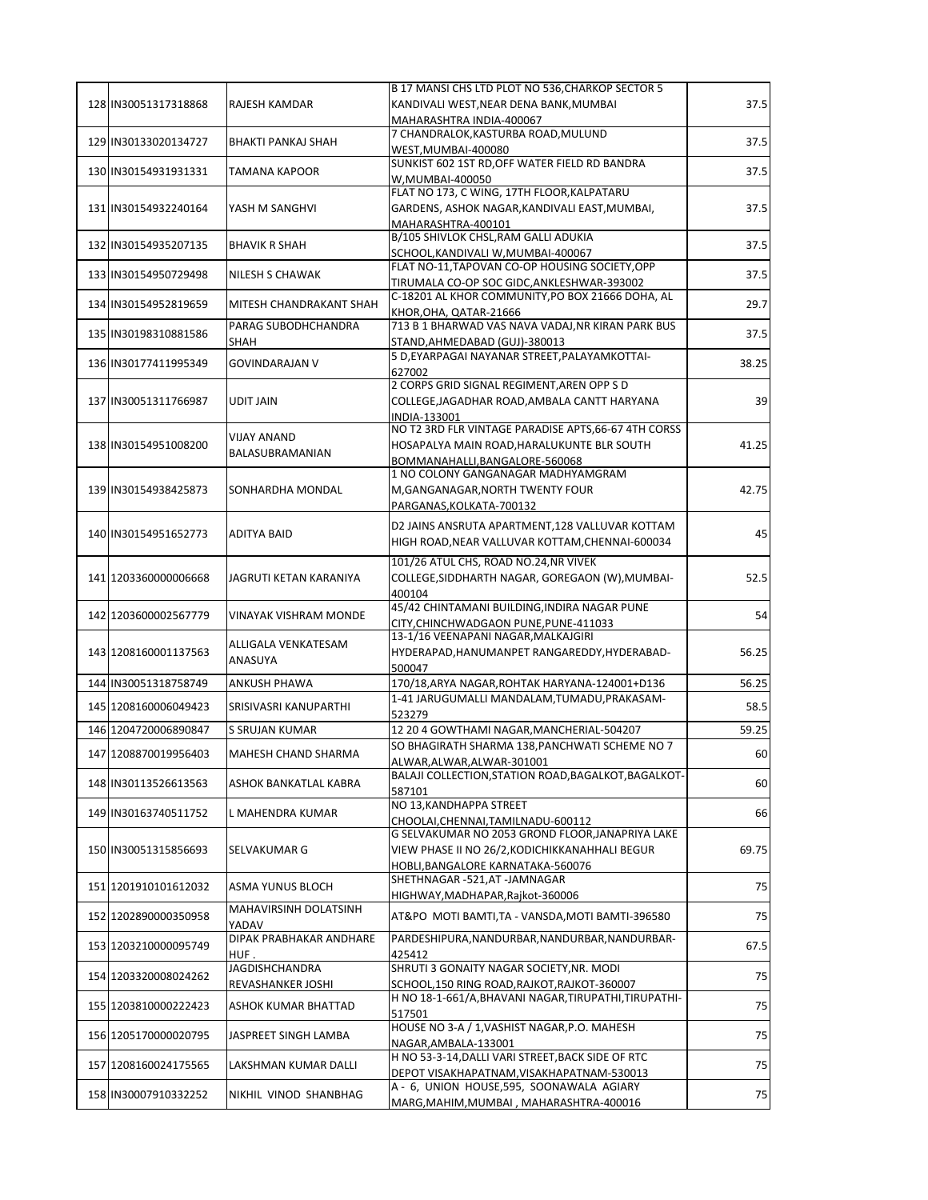|                      |                           | B 17 MANSI CHS LTD PLOT NO 536, CHARKOP SECTOR 5                                       |       |
|----------------------|---------------------------|----------------------------------------------------------------------------------------|-------|
| 128 IN30051317318868 | RAJESH KAMDAR             | KANDIVALI WEST, NEAR DENA BANK, MUMBAI                                                 | 37.5  |
|                      |                           | MAHARASHTRA INDIA-400067                                                               |       |
| 129 IN30133020134727 | <b>BHAKTI PANKAJ SHAH</b> | 7 CHANDRALOK, KASTURBA ROAD, MULUND                                                    | 37.5  |
|                      |                           | WEST, MUMBAI-400080                                                                    |       |
| 130 IN30154931931331 | <b>TAMANA KAPOOR</b>      | SUNKIST 602 1ST RD, OFF WATER FIELD RD BANDRA                                          | 37.5  |
|                      |                           | W.MUMBAI-400050<br>FLAT NO 173, C WING, 17TH FLOOR, KALPATARU                          |       |
|                      |                           |                                                                                        | 37.5  |
| 131 IN30154932240164 | YASH M SANGHVI            | GARDENS, ASHOK NAGAR, KANDIVALI EAST, MUMBAI,                                          |       |
|                      |                           | MAHARASHTRA-400101<br>B/105 SHIVLOK CHSL, RAM GALLI ADUKIA                             |       |
| 132 IN30154935207135 | <b>BHAVIK R SHAH</b>      | SCHOOL, KANDIVALI W, MUMBAI-400067                                                     | 37.5  |
|                      |                           | FLAT NO-11, TAPOVAN CO-OP HOUSING SOCIETY, OPP                                         |       |
| 133 IN30154950729498 | NILESH S CHAWAK           | TIRUMALA CO-OP SOC GIDC, ANKLESHWAR-393002                                             | 37.5  |
|                      |                           | C-18201 AL KHOR COMMUNITY, PO BOX 21666 DOHA, AL                                       |       |
| 134 IN30154952819659 | MITESH CHANDRAKANT SHAH   | KHOR, OHA, QATAR-21666                                                                 | 29.7  |
| 135 IN30198310881586 | PARAG SUBODHCHANDRA       | 713 B 1 BHARWAD VAS NAVA VADAJ, NR KIRAN PARK BUS                                      | 37.5  |
|                      | <b>SHAH</b>               | STAND, AHMEDABAD (GUJ)-380013                                                          |       |
| 136 IN30177411995349 | <b>GOVINDARAJAN V</b>     | 5 D, EYARPAGAI NAYANAR STREET, PALAYAMKOTTAI-                                          | 38.25 |
|                      |                           | 627002                                                                                 |       |
|                      |                           | 2 CORPS GRID SIGNAL REGIMENT, AREN OPP S D                                             |       |
| 137 IN30051311766987 | <b>UDIT JAIN</b>          | COLLEGE, JAGADHAR ROAD, AMBALA CANTT HARYANA                                           | 39    |
|                      |                           | INDIA-133001<br>NO T2 3RD FLR VINTAGE PARADISE APTS, 66-67 4TH CORSS                   |       |
| 138 IN30154951008200 | <b>VIJAY ANAND</b>        | HOSAPALYA MAIN ROAD, HARALUKUNTE BLR SOUTH                                             | 41.25 |
|                      | BALASUBRAMANIAN           | BOMMANAHALLI, BANGALORE-560068                                                         |       |
|                      |                           | 1 NO COLONY GANGANAGAR MADHYAMGRAM                                                     |       |
| 139 IN30154938425873 | SONHARDHA MONDAL          | M, GANGANAGAR, NORTH TWENTY FOUR                                                       | 42.75 |
|                      |                           | PARGANAS, KOLKATA-700132                                                               |       |
|                      |                           | D2 JAINS ANSRUTA APARTMENT, 128 VALLUVAR KOTTAM                                        |       |
| 140 IN30154951652773 | <b>ADITYA BAID</b>        | HIGH ROAD, NEAR VALLUVAR KOTTAM, CHENNAI-600034                                        | 45    |
|                      |                           |                                                                                        |       |
|                      |                           | 101/26 ATUL CHS, ROAD NO.24, NR VIVEK                                                  |       |
| 141 1203360000006668 | JAGRUTI KETAN KARANIYA    | COLLEGE, SIDDHARTH NAGAR, GOREGAON (W), MUMBAI-                                        | 52.5  |
|                      |                           | 400104<br>45/42 CHINTAMANI BUILDING, INDIRA NAGAR PUNE                                 |       |
| 142 1203600002567779 | VINAYAK VISHRAM MONDE     | CITY, CHINCHWADGAON PUNE, PUNE-411033                                                  | 54    |
|                      |                           | 13-1/16 VEENAPANI NAGAR, MALKAJGIRI                                                    |       |
| 143 1208160001137563 | ALLIGALA VENKATESAM       | HYDERAPAD, HANUMANPET RANGAREDDY, HYDERABAD-                                           | 56.25 |
|                      | ANASUYA                   | 500047                                                                                 |       |
| 144 IN30051318758749 | <b>ANKUSH PHAWA</b>       | 170/18, ARYA NAGAR, ROHTAK HARYANA-124001+D136                                         | 56.25 |
| 145 1208160006049423 | SRISIVASRI KANUPARTHI     | 1-41 JARUGUMALLI MANDALAM, TUMADU, PRAKASAM-                                           | 58.5  |
|                      |                           | 523279                                                                                 |       |
| 146 1204720006890847 | S SRUJAN KUMAR            | 12 20 4 GOWTHAMI NAGAR, MANCHERIAL-504207                                              | 59.25 |
| 147 1208870019956403 | MAHESH CHAND SHARMA       | SO BHAGIRATH SHARMA 138, PANCHWATI SCHEME NO 7                                         | 60    |
|                      |                           | ALWAR, ALWAR, ALWAR-301001                                                             |       |
| 148 IN30113526613563 | ASHOK BANKATLAL KABRA     | BALAJI COLLECTION, STATION ROAD, BAGALKOT, BAGALKOT-                                   | 60    |
|                      |                           | 587101<br>NO 13. KANDHAPPA STREET                                                      |       |
| 149 IN30163740511752 | L MAHENDRA KUMAR          |                                                                                        | 66    |
|                      |                           | CHOOLAI, CHENNAI, TAMILNADU-600112<br>G SELVAKUMAR NO 2053 GROND FLOOR, JANAPRIYA LAKE |       |
| 150 IN30051315856693 | SELVAKUMAR G              | VIEW PHASE II NO 26/2, KODICHIKKANAHHALI BEGUR                                         | 69.75 |
|                      |                           | HOBLI, BANGALORE KARNATAKA-560076                                                      |       |
|                      |                           | SHETHNAGAR -521.AT -JAMNAGAR                                                           |       |
| 151 1201910101612032 | ASMA YUNUS BLOCH          | HIGHWAY, MADHAPAR, Rajkot-360006                                                       | 75    |
| 152 1202890000350958 | MAHAVIRSINH DOLATSINH     | AT&PO MOTI BAMTI, TA - VANSDA, MOTI BAMTI-396580                                       | 75    |
|                      | YADAV                     |                                                                                        |       |
| 153 1203210000095749 | DIPAK PRABHAKAR ANDHARE   | PARDESHIPURA, NANDURBAR, NANDURBAR, NANDURBAR-                                         | 67.5  |
|                      | HUF.                      | 425412                                                                                 |       |
| 154 1203320008024262 | <b>JAGDISHCHANDRA</b>     | SHRUTI 3 GONAITY NAGAR SOCIETY, NR. MODI                                               | 75    |
|                      | REVASHANKER JOSHI         | SCHOOL, 150 RING ROAD, RAJKOT, RAJKOT-360007                                           |       |
| 155 1203810000222423 | ASHOK KUMAR BHATTAD       | H NO 18-1-661/A, BHAVANI NAGAR, TIRUPATHI, TIRUPATHI-                                  | 75    |
|                      |                           | 517501<br>HOUSE NO 3-A / 1, VASHIST NAGAR, P.O. MAHESH                                 |       |
| 156 1205170000020795 | JASPREET SINGH LAMBA      | NAGAR, AMBALA-133001                                                                   | 75    |
|                      |                           | H NO 53-3-14, DALLI VARI STREET, BACK SIDE OF RTC                                      |       |
| 157 1208160024175565 | LAKSHMAN KUMAR DALLI      | DEPOT VISAKHAPATNAM, VISAKHAPATNAM-530013                                              | 75    |
|                      |                           | A - 6, UNION HOUSE,595, SOONAWALA AGIARY                                               |       |
| 158 IN30007910332252 | NIKHIL VINOD SHANBHAG     | MARG, MAHIM, MUMBAI, MAHARASHTRA-400016                                                | 75    |
|                      |                           |                                                                                        |       |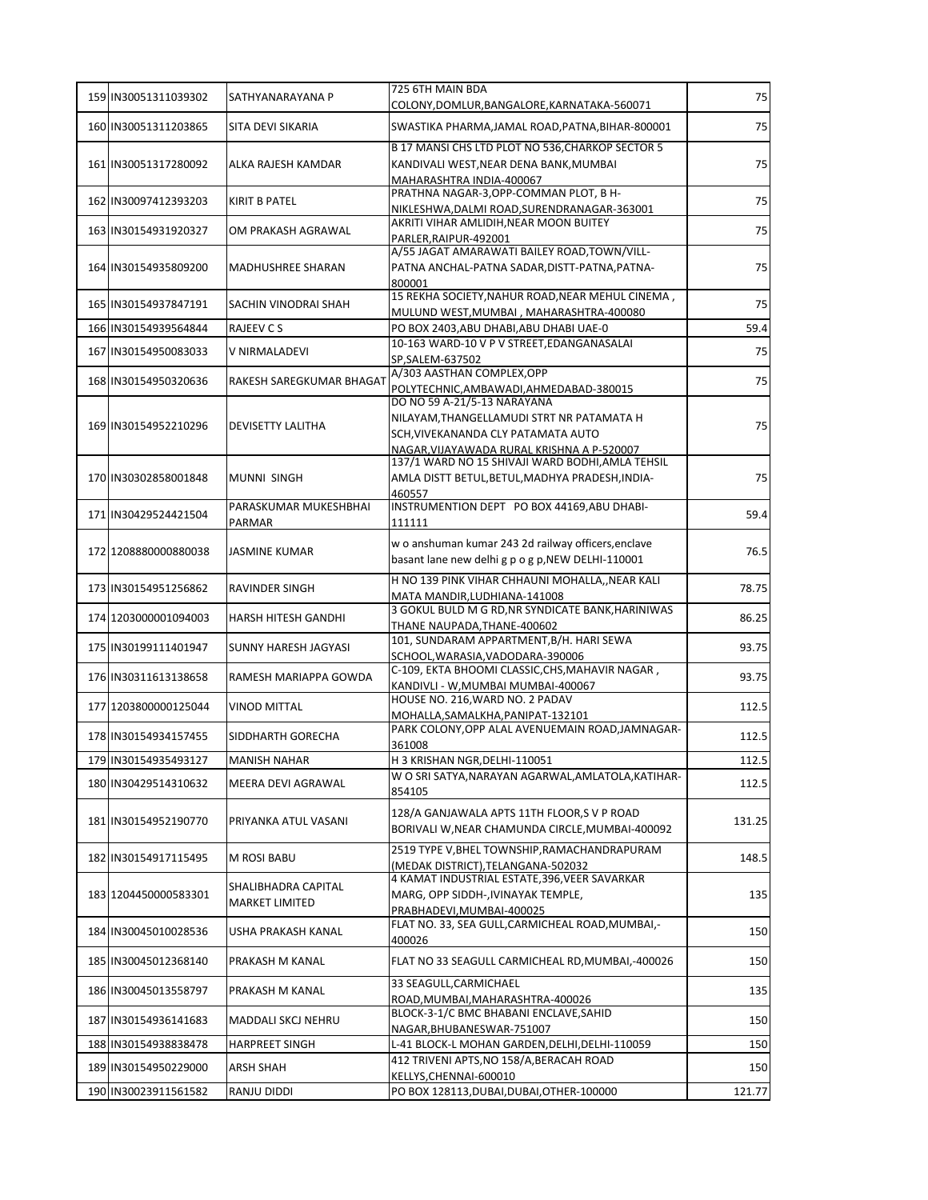| 159 IN30051311039302 | SATHYANARAYANA P          | 725 6TH MAIN BDA                                                                               | 75     |
|----------------------|---------------------------|------------------------------------------------------------------------------------------------|--------|
|                      |                           | COLONY, DOMLUR, BANGALORE, KARNATAKA-560071                                                    |        |
| 160 IN30051311203865 | SITA DEVI SIKARIA         | SWASTIKA PHARMA, JAMAL ROAD, PATNA, BIHAR-800001                                               | 75     |
|                      |                           | B 17 MANSI CHS LTD PLOT NO 536, CHARKOP SECTOR 5                                               |        |
| 161 IN30051317280092 | ALKA RAJESH KAMDAR        | KANDIVALI WEST, NEAR DENA BANK, MUMBAI                                                         | 75     |
|                      |                           | MAHARASHTRA INDIA-400067<br>PRATHNA NAGAR-3, OPP-COMMAN PLOT, B H-                             |        |
| 162 IN30097412393203 | <b>KIRIT B PATEL</b>      | NIKLESHWA, DALMI ROAD, SURENDRANAGAR-363001                                                    | 75     |
|                      |                           | AKRITI VIHAR AMLIDIH, NEAR MOON BUITEY                                                         |        |
| 163 IN30154931920327 | OM PRAKASH AGRAWAL        | PARLER, RAIPUR-492001                                                                          | 75     |
|                      |                           | A/55 JAGAT AMARAWATI BAILEY ROAD, TOWN/VILL-                                                   |        |
| 164 IN30154935809200 | MADHUSHREE SHARAN         | PATNA ANCHAL-PATNA SADAR, DISTT-PATNA, PATNA-                                                  | 75     |
|                      |                           | 800001<br>15 REKHA SOCIETY, NAHUR ROAD, NEAR MEHUL CINEMA,                                     |        |
| 165 IN30154937847191 | SACHIN VINODRAI SHAH      | MULUND WEST, MUMBAI, MAHARASHTRA-400080                                                        | 75     |
| 166 IN30154939564844 | RAJEEV C S                | PO BOX 2403, ABU DHABI, ABU DHABI UAE-0                                                        | 59.4   |
|                      |                           | 10-163 WARD-10 V P V STREET, EDANGANASALAI                                                     |        |
| 167 IN30154950083033 | V NIRMALADEVI             | SP, SALEM-637502                                                                               | 75     |
|                      |                           | A/303 AASTHAN COMPLEX, OPP                                                                     |        |
| 168 IN30154950320636 | RAKESH SAREGKUMAR BHAGAT  | POLYTECHNIC, AMBAWADI, AHMEDABAD-380015                                                        | 75     |
|                      |                           | DO NO 59 A-21/5-13 NARAYANA                                                                    |        |
| 169 IN30154952210296 | DEVISETTY LALITHA         | NILAYAM, THANGELLAMUDI STRT NR PATAMATA H                                                      | 75     |
|                      |                           | SCH, VIVEKANANDA CLY PATAMATA AUTO                                                             |        |
|                      |                           | NAGAR, VIJAYAWADA RURAL KRISHNA A P-520007<br>137/1 WARD NO 15 SHIVAJI WARD BODHI, AMLA TEHSIL |        |
| 170 IN30302858001848 | MUNNI SINGH               | AMLA DISTT BETUL, BETUL, MADHYA PRADESH, INDIA-                                                | 75     |
|                      |                           | 460557                                                                                         |        |
|                      | PARASKUMAR MUKESHBHAI     | INSTRUMENTION DEPT PO BOX 44169, ABU DHABI-                                                    |        |
| 171 IN30429524421504 | PARMAR                    | 111111                                                                                         | 59.4   |
|                      |                           | w o anshuman kumar 243 2d railway officers, enclave                                            |        |
| 172 1208880000880038 | <b>JASMINE KUMAR</b>      | basant lane new delhi g p o g p, NEW DELHI-110001                                              | 76.5   |
|                      |                           |                                                                                                |        |
| 173 IN30154951256862 | RAVINDER SINGH            | H NO 139 PINK VIHAR CHHAUNI MOHALLA,, NEAR KALI                                                | 78.75  |
|                      |                           | MATA MANDIR, LUDHIANA-141008<br>3 GOKUL BULD M G RD, NR SYNDICATE BANK, HARINIWAS              |        |
| 174 1203000001094003 | HARSH HITESH GANDHI       | THANE NAUPADA, THANE-400602                                                                    | 86.25  |
|                      |                           | 101, SUNDARAM APPARTMENT, B/H. HARI SEWA                                                       |        |
| 175 IN30199111401947 | SUNNY HARESH JAGYASI      | SCHOOL, WARASIA, VADODARA-390006                                                               | 93.75  |
| 176 IN30311613138658 | RAMESH MARIAPPA GOWDA     | C-109, EKTA BHOOMI CLASSIC, CHS, MAHAVIR NAGAR,                                                | 93.75  |
|                      |                           | KANDIVLI - W, MUMBAI MUMBAI-400067                                                             |        |
| 177 1203800000125044 | <b>VINOD MITTAL</b>       | HOUSE NO. 216. WARD NO. 2 PADAV                                                                | 112.5  |
|                      |                           | MOHALLA, SAMALKHA, PANIPAT-132101<br>PARK COLONY, OPP ALAL AVENUEMAIN ROAD, JAMNAGAR-          |        |
| 178 IN30154934157455 | SIDDHARTH GORECHA         | 361008                                                                                         | 112.5  |
| 179 IN30154935493127 | <b>MANISH NAHAR</b>       | H 3 KRISHAN NGR, DELHI-110051                                                                  | 112.5  |
|                      |                           | W O SRI SATYA, NARAYAN AGARWAL, AMLATOLA, KATIHAR-                                             |        |
| 180 IN30429514310632 | <b>MEERA DEVI AGRAWAL</b> | 854105                                                                                         | 112.5  |
|                      |                           | 128/A GANJAWALA APTS 11TH FLOOR,S V P ROAD                                                     |        |
| 181 IN30154952190770 | PRIYANKA ATUL VASANI      | BORIVALI W, NEAR CHAMUNDA CIRCLE, MUMBAI-400092                                                | 131.25 |
|                      |                           |                                                                                                |        |
| 182 IN30154917115495 | M ROSI BABU               | 2519 TYPE V, BHEL TOWNSHIP, RAMACHANDRAPURAM                                                   | 148.5  |
|                      |                           | (MEDAK DISTRICT), TELANGANA-502032<br>4 KAMAT INDUSTRIAL ESTATE, 396, VEER SAVARKAR            |        |
| 183 1204450000583301 | SHALIBHADRA CAPITAL       | MARG, OPP SIDDH-, IVINAYAK TEMPLE,                                                             | 135    |
|                      | <b>MARKET LIMITED</b>     | PRABHADEVI, MUMBAI-400025                                                                      |        |
|                      |                           | FLAT NO. 33, SEA GULL, CARMICHEAL ROAD, MUMBAI,-                                               |        |
| 184 IN30045010028536 | USHA PRAKASH KANAL        | 400026                                                                                         | 150    |
| 185 IN30045012368140 | PRAKASH M KANAL           | FLAT NO 33 SEAGULL CARMICHEAL RD, MUMBAI, -400026                                              | 150    |
|                      |                           |                                                                                                |        |
| 186 IN30045013558797 | PRAKASH M KANAL           | 33 SEAGULL, CARMICHAEL                                                                         | 135    |
|                      |                           | ROAD, MUMBAI, MAHARASHTRA-400026<br>BLOCK-3-1/C BMC BHABANI ENCLAVE, SAHID                     |        |
| 187 IN30154936141683 | MADDALI SKCJ NEHRU        | NAGAR, BHUBANESWAR-751007                                                                      | 150    |
| 188 IN30154938838478 | <b>HARPREET SINGH</b>     | L-41 BLOCK-L MOHAN GARDEN, DELHI, DELHI-110059                                                 | 150    |
|                      |                           | 412 TRIVENI APTS, NO 158/A, BERACAH ROAD                                                       |        |
| 189 IN30154950229000 | ARSH SHAH                 | KELLYS, CHENNAI-600010                                                                         | 150    |
| 190 IN30023911561582 | RANJU DIDDI               | PO BOX 128113, DUBAI, DUBAI, OTHER-100000                                                      | 121.77 |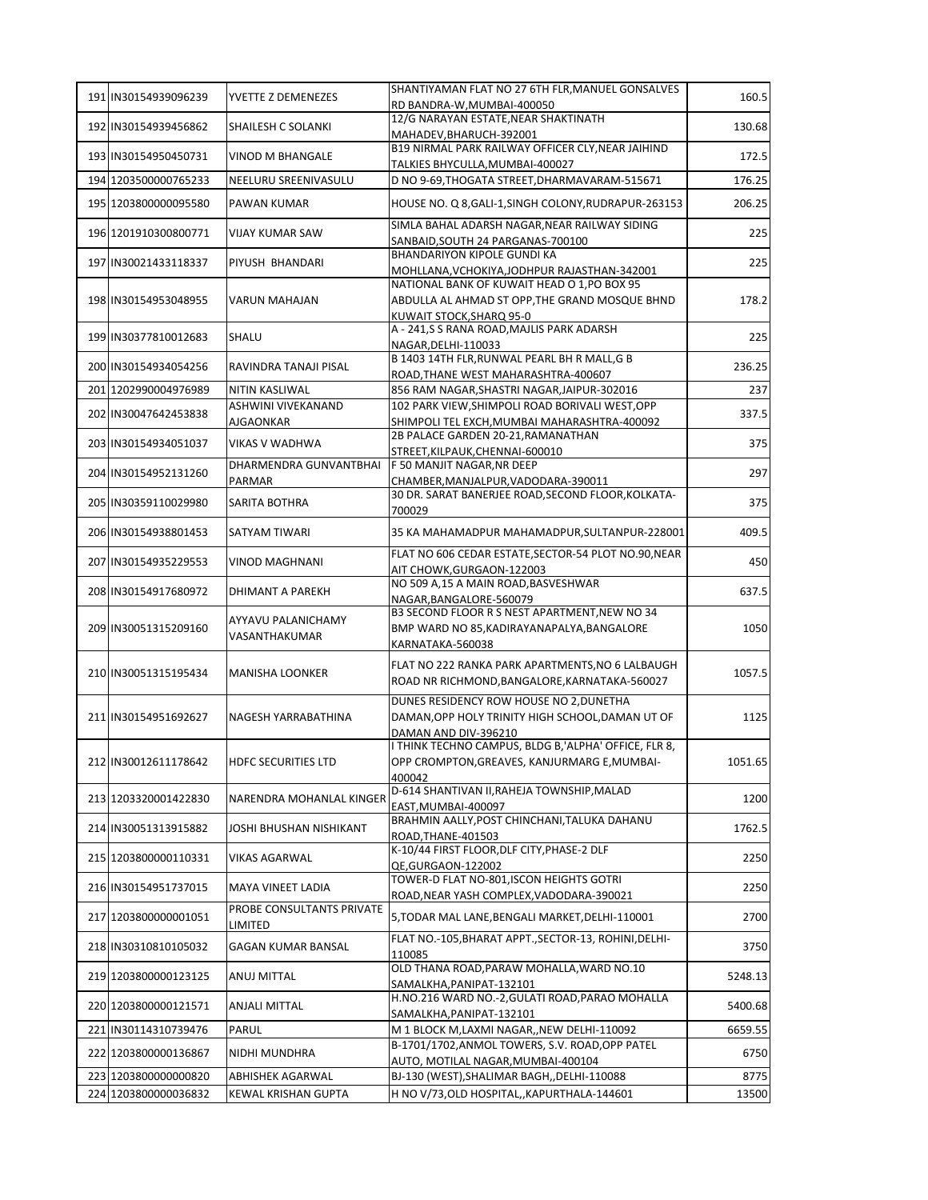| 191 IN30154939096239 | YVETTE Z DEMENEZES                   | SHANTIYAMAN FLAT NO 27 6TH FLR, MANUEL GONSALVES                                            | 160.5   |
|----------------------|--------------------------------------|---------------------------------------------------------------------------------------------|---------|
|                      |                                      | RD BANDRA-W, MUMBAI-400050<br>12/G NARAYAN ESTATE, NEAR SHAKTINATH                          |         |
| 192 IN30154939456862 | <b>SHAILESH C SOLANKI</b>            | MAHADEV, BHARUCH-392001                                                                     | 130.68  |
| 193 IN30154950450731 | <b>VINOD M BHANGALE</b>              | B19 NIRMAL PARK RAILWAY OFFICER CLY, NEAR JAIHIND                                           | 172.5   |
|                      |                                      | TALKIES BHYCULLA, MUMBAI-400027                                                             |         |
| 194 1203500000765233 | NEELURU SREENIVASULU                 | D NO 9-69, THOGATA STREET, DHARMAVARAM-515671                                               | 176.25  |
| 195 1203800000095580 | PAWAN KUMAR                          | HOUSE NO. Q 8, GALI-1, SINGH COLONY, RUDRAPUR-263153                                        | 206.25  |
| 196 1201910300800771 | <b>VIJAY KUMAR SAW</b>               | SIMLA BAHAL ADARSH NAGAR, NEAR RAILWAY SIDING                                               | 225     |
|                      |                                      | SANBAID, SOUTH 24 PARGANAS-700100<br><b>BHANDARIYON KIPOLE GUNDI KA</b>                     |         |
| 197 IN30021433118337 | PIYUSH BHANDARI                      | MOHLLANA, VCHOKIYA, JODHPUR RAJASTHAN-342001                                                | 225     |
|                      |                                      | NATIONAL BANK OF KUWAIT HEAD O 1.PO BOX 95                                                  |         |
| 198 IN30154953048955 | <b>VARUN MAHAJAN</b>                 | ABDULLA AL AHMAD ST OPP, THE GRAND MOSQUE BHND<br>KUWAIT STOCK, SHARQ 95-0                  | 178.2   |
|                      |                                      | A - 241,S S RANA ROAD, MAJLIS PARK ADARSH                                                   |         |
| 199 IN30377810012683 | SHALU                                | NAGAR, DELHI-110033                                                                         | 225     |
| 200 IN30154934054256 | RAVINDRA TANAJI PISAL                | B 1403 14TH FLR, RUNWAL PEARL BH R MALL, G B                                                | 236.25  |
| 201 1202990004976989 | <b>NITIN KASLIWAL</b>                | ROAD, THANE WEST MAHARASHTRA-400607<br>856 RAM NAGAR, SHASTRI NAGAR, JAIPUR-302016          | 237     |
|                      | ASHWINI VIVEKANAND                   | 102 PARK VIEW, SHIMPOLI ROAD BORIVALI WEST, OPP                                             |         |
| 202 IN30047642453838 | <b>AJGAONKAR</b>                     | SHIMPOLI TEL EXCH, MUMBAI MAHARASHTRA-400092                                                | 337.5   |
| 203 IN30154934051037 | <b>VIKAS V WADHWA</b>                | 2B PALACE GARDEN 20-21, RAMANATHAN                                                          | 375     |
|                      |                                      | STREET, KILPAUK, CHENNAI-600010                                                             |         |
| 204 IN30154952131260 | DHARMENDRA GUNVANTBHAI               | F 50 MANJIT NAGAR, NR DEEP                                                                  | 297     |
|                      | PARMAR                               | CHAMBER, MANJALPUR, VADODARA-390011<br>30 DR. SARAT BANERJEE ROAD, SECOND FLOOR, KOLKATA-   |         |
| 205 IN30359110029980 | <b>SARITA BOTHRA</b>                 | 700029                                                                                      | 375     |
| 206 IN30154938801453 | <b>SATYAM TIWARI</b>                 | 35 KA MAHAMADPUR MAHAMADPUR, SULTANPUR-228001                                               | 409.5   |
| 207 IN30154935229553 | <b>VINOD MAGHNANI</b>                | FLAT NO 606 CEDAR ESTATE, SECTOR-54 PLOT NO.90, NEAR                                        | 450     |
|                      |                                      | AIT CHOWK, GURGAON-122003<br>NO 509 A,15 A MAIN ROAD, BASVESHWAR                            |         |
| 208 IN30154917680972 | DHIMANT A PAREKH                     | NAGAR, BANGALORE-560079                                                                     | 637.5   |
|                      | AYYAVU PALANICHAMY                   | B3 SECOND FLOOR R S NEST APARTMENT, NEW NO 34                                               |         |
| 209 IN30051315209160 | VASANTHAKUMAR                        | BMP WARD NO 85, KADIRAYANAPALYA, BANGALORE                                                  | 1050    |
|                      |                                      | KARNATAKA-560038                                                                            |         |
| 210 IN30051315195434 | <b>MANISHA LOONKER</b>               | FLAT NO 222 RANKA PARK APARTMENTS, NO 6 LALBAUGH                                            | 1057.5  |
|                      |                                      | ROAD NR RICHMOND, BANGALORE, KARNATAKA-560027                                               |         |
| 211 IN30154951692627 | NAGESH YARRABATHINA                  | DUNES RESIDENCY ROW HOUSE NO 2, DUNETHA<br>DAMAN, OPP HOLY TRINITY HIGH SCHOOL, DAMAN UT OF |         |
|                      |                                      | DAMAN AND DIV-396210                                                                        | 1125    |
|                      |                                      | I THINK TECHNO CAMPUS, BLDG B,'ALPHA' OFFICE, FLR 8,                                        |         |
| 212 IN30012611178642 | HDFC SECURITIES LTD                  | OPP CROMPTON, GREAVES, KANJURMARG E, MUMBAI-                                                | 1051.65 |
|                      |                                      | 400042                                                                                      |         |
| 213 1203320001422830 | NARENDRA MOHANLAL KINGER             | D-614 SHANTIVAN II, RAHEJA TOWNSHIP, MALAD<br>EAST.MUMBAI-400097                            | 1200    |
| 214 IN30051313915882 |                                      | BRAHMIN AALLY, POST CHINCHANI, TALUKA DAHANU                                                | 1762.5  |
|                      | JOSHI BHUSHAN NISHIKANT              | ROAD, THANE-401503                                                                          |         |
| 215 1203800000110331 | VIKAS AGARWAL                        | K-10/44 FIRST FLOOR, DLF CITY, PHASE-2 DLF<br>QE.GURGAON-122002                             | 2250    |
|                      |                                      | TOWER-D FLAT NO-801.ISCON HEIGHTS GOTRI                                                     |         |
| 216 IN30154951737015 | MAYA VINEET LADIA                    | ROAD, NEAR YASH COMPLEX, VADODARA-390021                                                    | 2250    |
| 217 1203800000001051 | PROBE CONSULTANTS PRIVATE<br>LIMITED | 5, TODAR MAL LANE, BENGALI MARKET, DELHI-110001                                             | 2700    |
| 218 IN30310810105032 | GAGAN KUMAR BANSAL                   | FLAT NO.-105, BHARAT APPT., SECTOR-13, ROHINI, DELHI-<br>110085                             | 3750    |
| 219 1203800000123125 | ANUJ MITTAL                          | OLD THANA ROAD, PARAW MOHALLA, WARD NO.10<br>SAMALKHA, PANIPAT-132101                       | 5248.13 |
| 220 1203800000121571 | <b>ANJALI MITTAL</b>                 | H.NO.216 WARD NO.-2, GULATI ROAD, PARAO MOHALLA                                             | 5400.68 |
|                      |                                      | SAMALKHA, PANIPAT-132101                                                                    |         |
| 221 IN30114310739476 | PARUL                                | M 1 BLOCK M, LAXMI NAGAR, , NEW DELHI-110092                                                | 6659.55 |
| 222 1203800000136867 | NIDHI MUNDHRA                        | B-1701/1702, ANMOL TOWERS, S.V. ROAD, OPP PATEL<br>AUTO, MOTILAL NAGAR, MUMBAI-400104       | 6750    |
| 223 1203800000000820 | ABHISHEK AGARWAL                     | BJ-130 (WEST), SHALIMAR BAGH, , DELHI-110088                                                | 8775    |
| 224 1203800000036832 | KEWAL KRISHAN GUPTA                  | H NO V/73, OLD HOSPITAL,, KAPURTHALA-144601                                                 | 13500   |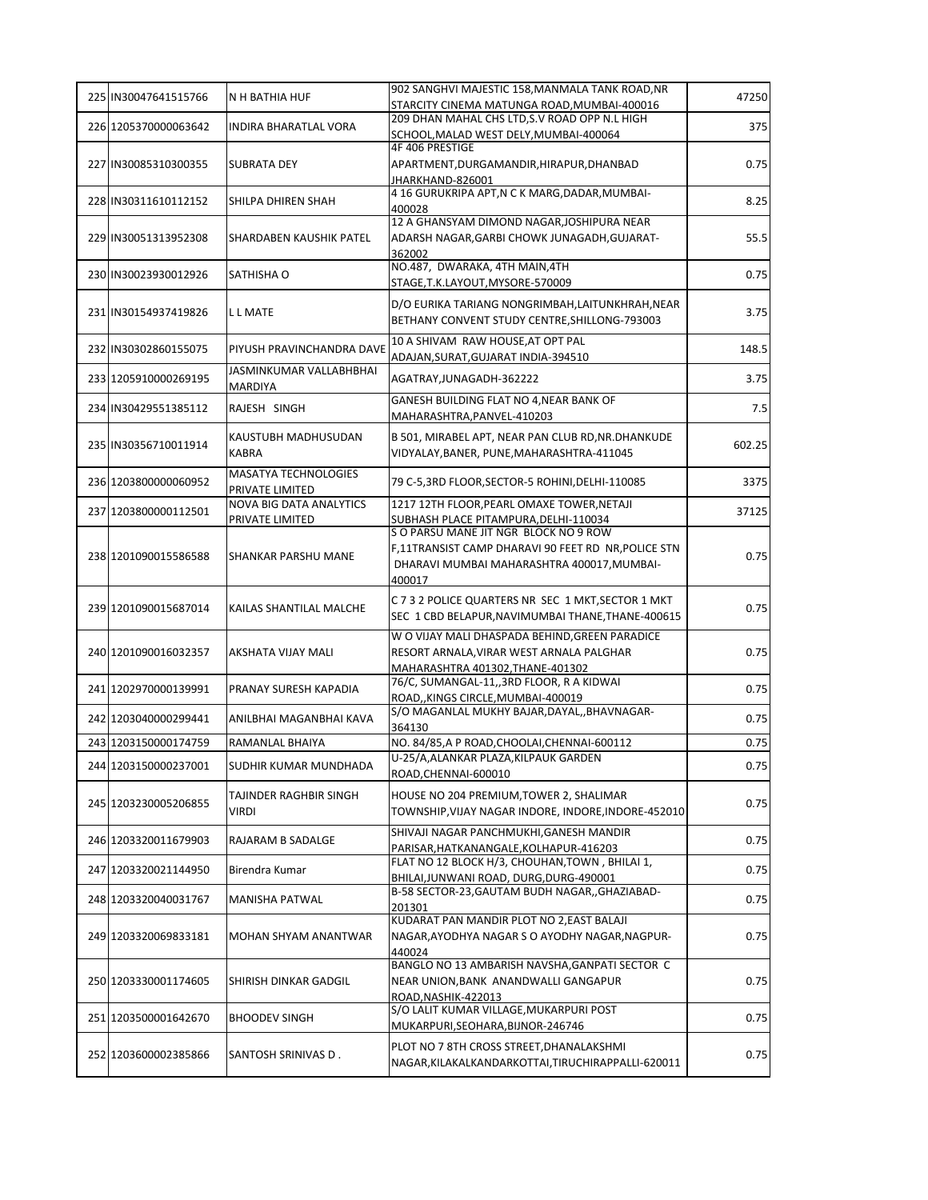| 225 IN30047641515766 | N H BATHIA HUF                                    | 902 SANGHVI MAJESTIC 158, MANMALA TANK ROAD, NR                                     | 47250  |
|----------------------|---------------------------------------------------|-------------------------------------------------------------------------------------|--------|
|                      |                                                   | STARCITY CINEMA MATUNGA ROAD, MUMBAI-400016                                         |        |
| 226 1205370000063642 | <b>INDIRA BHARATLAL VORA</b>                      | 209 DHAN MAHAL CHS LTD, S.V ROAD OPP N.L HIGH                                       | 375    |
|                      |                                                   | SCHOOL, MALAD WEST DELY, MUMBAI-400064<br>4F 406 PRESTIGE                           |        |
| 227 IN30085310300355 | SUBRATA DEY                                       | APARTMENT, DURGAMANDIR, HIRAPUR, DHANBAD                                            | 0.75   |
|                      |                                                   | JHARKHAND-826001                                                                    |        |
| 228 IN30311610112152 | SHILPA DHIREN SHAH                                | 4 16 GURUKRIPA APT, N C K MARG, DADAR, MUMBAI-                                      | 8.25   |
|                      |                                                   | 400028<br>12 A GHANSYAM DIMOND NAGAR, JOSHIPURA NEAR                                |        |
| 229 IN30051313952308 | SHARDABEN KAUSHIK PATEL                           | ADARSH NAGAR, GARBI CHOWK JUNAGADH, GUJARAT-                                        | 55.5   |
|                      |                                                   | 362002                                                                              |        |
| 230 IN30023930012926 | SATHISHA O                                        | NO.487, DWARAKA, 4TH MAIN, 4TH                                                      | 0.75   |
|                      |                                                   | STAGE, T.K.LAYOUT, MYSORE-570009                                                    |        |
|                      |                                                   | D/O EURIKA TARIANG NONGRIMBAH, LAITUNKHRAH, NEAR                                    |        |
| 231 IN30154937419826 | L L MATE                                          | BETHANY CONVENT STUDY CENTRE, SHILLONG-793003                                       | 3.75   |
|                      |                                                   | 10 A SHIVAM RAW HOUSE, AT OPT PAL                                                   |        |
| 232 IN30302860155075 | PIYUSH PRAVINCHANDRA DAVE                         | ADAJAN, SURAT, GUJARAT INDIA-394510                                                 | 148.5  |
| 233 1205910000269195 | JASMINKUMAR VALLABHBHAI                           | AGATRAY, JUNAGADH-362222                                                            | 3.75   |
|                      | MARDIYA                                           |                                                                                     |        |
| 234 IN30429551385112 | RAJESH SINGH                                      | GANESH BUILDING FLAT NO 4, NEAR BANK OF                                             | 7.5    |
|                      |                                                   | MAHARASHTRA, PANVEL-410203                                                          |        |
| 235 IN30356710011914 | KAUSTUBH MADHUSUDAN                               | B 501, MIRABEL APT, NEAR PAN CLUB RD, NR. DHANKUDE                                  | 602.25 |
|                      | <b>KABRA</b>                                      | VIDYALAY, BANER, PUNE, MAHARASHTRA-411045                                           |        |
| 236 1203800000060952 | <b>MASATYA TECHNOLOGIES</b>                       | 79 C-5,3RD FLOOR, SECTOR-5 ROHINI, DELHI-110085                                     | 3375   |
|                      | PRIVATE LIMITED                                   |                                                                                     |        |
| 237 1203800000112501 | <b>NOVA BIG DATA ANALYTICS</b><br>PRIVATE LIMITED | 1217 12TH FLOOR, PEARL OMAXE TOWER, NETAJI<br>SUBHASH PLACE PITAMPURA, DELHI-110034 | 37125  |
|                      |                                                   | S O PARSU MANE JIT NGR BLOCK NO 9 ROW                                               |        |
|                      |                                                   | F,11TRANSIST CAMP DHARAVI 90 FEET RD NR, POLICE STN                                 |        |
| 238 1201090015586588 | SHANKAR PARSHU MANE                               | DHARAVI MUMBAI MAHARASHTRA 400017, MUMBAI-                                          | 0.75   |
|                      |                                                   | 400017                                                                              |        |
|                      |                                                   | C 7 3 2 POLICE QUARTERS NR SEC 1 MKT, SECTOR 1 MKT                                  |        |
| 239 1201090015687014 | KAILAS SHANTILAL MALCHE                           | SEC 1 CBD BELAPUR, NAVIMUMBAI THANE, THANE-400615                                   | 0.75   |
|                      |                                                   | W O VIJAY MALI DHASPADA BEHIND, GREEN PARADICE                                      |        |
| 240 1201090016032357 | AKSHATA VIJAY MALI                                | RESORT ARNALA, VIRAR WEST ARNALA PALGHAR                                            | 0.75   |
|                      |                                                   | MAHARASHTRA 401302, THANE-401302                                                    |        |
| 241 1202970000139991 | PRANAY SURESH KAPADIA                             | 76/C, SUMANGAL-11,,3RD FLOOR, R A KIDWAI                                            | 0.75   |
|                      |                                                   | ROAD,,KINGS CIRCLE,MUMBAI-400019<br>S/O MAGANLAL MUKHY BAJAR, DAYAL,, BHAVNAGAR-    |        |
| 242 1203040000299441 | ANILBHAI MAGANBHAI KAVA                           | 364130                                                                              | 0.75   |
| 243 1203150000174759 | RAMANLAL BHAIYA                                   | NO. 84/85, A P ROAD, CHOOLAI, CHENNAI-600112                                        | 0.75   |
|                      |                                                   | U-25/A, ALANKAR PLAZA, KILPAUK GARDEN                                               |        |
| 244 1203150000237001 | SUDHIR KUMAR MUNDHADA                             | ROAD, CHENNAI-600010                                                                | 0.75   |
|                      | TAJINDER RAGHBIR SINGH                            | HOUSE NO 204 PREMIUM, TOWER 2, SHALIMAR                                             |        |
| 245 1203230005206855 | VIRDI                                             | TOWNSHIP, VIJAY NAGAR INDORE, INDORE, INDORE-452010                                 | 0.75   |
|                      |                                                   | SHIVAJI NAGAR PANCHMUKHI, GANESH MANDIR                                             |        |
| 246 1203320011679903 | RAJARAM B SADALGE                                 | PARISAR, HATKANANGALE, KOLHAPUR-416203                                              | 0.75   |
|                      | Birendra Kumar                                    | FLAT NO 12 BLOCK H/3, CHOUHAN, TOWN, BHILAI 1,                                      | 0.75   |
| 247 1203320021144950 |                                                   | BHILAI, JUNWANI ROAD, DURG, DURG-490001                                             |        |
| 248 1203320040031767 | MANISHA PATWAL                                    | B-58 SECTOR-23, GAUTAM BUDH NAGAR, , GHAZIABAD-                                     | 0.75   |
|                      |                                                   | 201301<br>KUDARAT PAN MANDIR PLOT NO 2, EAST BALAJI                                 |        |
| 249 1203320069833181 | MOHAN SHYAM ANANTWAR                              | NAGAR, AYODHYA NAGAR S O AYODHY NAGAR, NAGPUR-                                      | 0.75   |
|                      |                                                   | 440024                                                                              |        |
|                      |                                                   | BANGLO NO 13 AMBARISH NAVSHA, GANPATI SECTOR C                                      |        |
| 250 1203330001174605 | SHIRISH DINKAR GADGIL                             | NEAR UNION, BANK ANANDWALLI GANGAPUR                                                | 0.75   |
|                      |                                                   | ROAD, NASHIK-422013                                                                 |        |
| 251 1203500001642670 | <b>BHOODEV SINGH</b>                              | S/O LALIT KUMAR VILLAGE, MUKARPURI POST                                             | 0.75   |
|                      |                                                   | MUKARPURI, SEOHARA, BIJNOR-246746                                                   |        |
| 252 1203600002385866 | SANTOSH SRINIVAS D.                               | PLOT NO 7 8TH CROSS STREET, DHANALAKSHMI                                            | 0.75   |
|                      |                                                   | NAGAR, KILAKALKANDARKOTTAI, TIRUCHIRAPPALLI-620011                                  |        |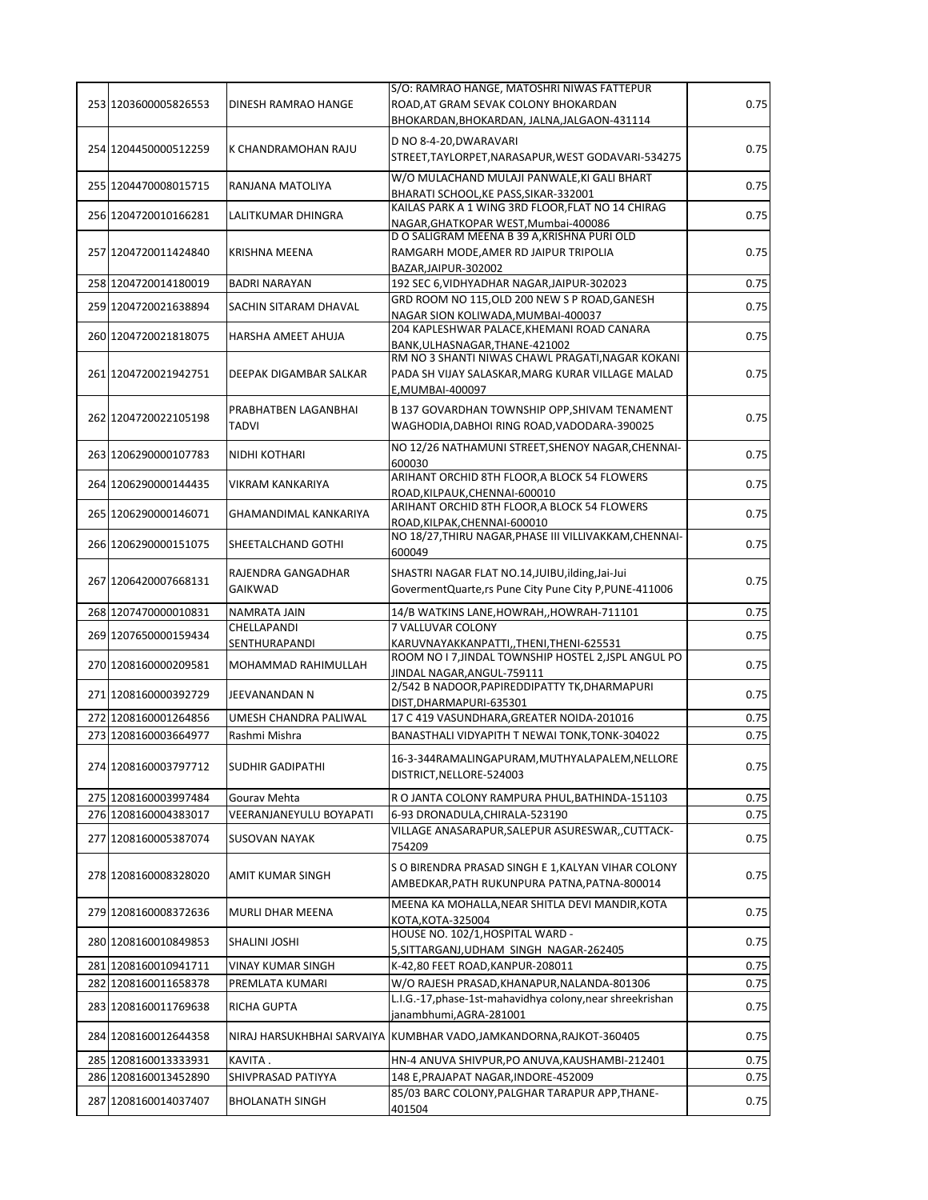|                      |                                | S/O: RAMRAO HANGE, MATOSHRI NIWAS FATTEPUR                                          |              |
|----------------------|--------------------------------|-------------------------------------------------------------------------------------|--------------|
| 253 1203600005826553 | DINESH RAMRAO HANGE            | ROAD, AT GRAM SEVAK COLONY BHOKARDAN                                                | 0.75         |
|                      |                                | BHOKARDAN, BHOKARDAN, JALNA, JALGAON-431114                                         |              |
| 254 1204450000512259 | K CHANDRAMOHAN RAJU            | D NO 8-4-20, DWARAVARI                                                              | 0.75         |
|                      |                                | STREET, TAYLORPET, NARASAPUR, WEST GODAVARI-534275                                  |              |
| 255 1204470008015715 | RANJANA MATOLIYA               | W/O MULACHAND MULAJI PANWALE, KI GALI BHART                                         | 0.75         |
|                      |                                | BHARATI SCHOOL, KE PASS, SIKAR-332001                                               |              |
| 256 1204720010166281 | LALITKUMAR DHINGRA             | KAILAS PARK A 1 WING 3RD FLOOR, FLAT NO 14 CHIRAG                                   | 0.75         |
|                      |                                | NAGAR, GHATKOPAR WEST, Mumbai-400086<br>D O SALIGRAM MEENA B 39 A, KRISHNA PURI OLD |              |
| 257 1204720011424840 | <b>KRISHNA MEENA</b>           | RAMGARH MODE, AMER RD JAIPUR TRIPOLIA                                               | 0.75         |
|                      |                                | BAZAR, JAIPUR-302002                                                                |              |
| 258 1204720014180019 | <b>BADRI NARAYAN</b>           | 192 SEC 6, VIDHYADHAR NAGAR, JAIPUR-302023                                          | 0.75         |
| 259 1204720021638894 | SACHIN SITARAM DHAVAL          | GRD ROOM NO 115, OLD 200 NEW S P ROAD, GANESH                                       | 0.75         |
|                      |                                | NAGAR SION KOLIWADA, MUMBAI-400037                                                  |              |
| 260 1204720021818075 | HARSHA AMEET AHUJA             | 204 KAPLESHWAR PALACE, KHEMANI ROAD CANARA                                          | 0.75         |
|                      |                                | BANK, ULHASNAGAR, THANE-421002<br>RM NO 3 SHANTI NIWAS CHAWL PRAGATI, NAGAR KOKANI  |              |
| 261 1204720021942751 | DEEPAK DIGAMBAR SALKAR         | PADA SH VIJAY SALASKAR, MARG KURAR VILLAGE MALAD                                    | 0.75         |
|                      |                                | E, MUMBAI-400097                                                                    |              |
|                      | PRABHATBEN LAGANBHAI           | B 137 GOVARDHAN TOWNSHIP OPP, SHIVAM TENAMENT                                       |              |
| 262 1204720022105198 | <b>TADVI</b>                   | WAGHODIA, DABHOI RING ROAD, VADODARA-390025                                         | 0.75         |
|                      |                                | NO 12/26 NATHAMUNI STREET, SHENOY NAGAR, CHENNAI-                                   |              |
| 263 1206290000107783 | NIDHI KOTHARI                  | 600030                                                                              | 0.75         |
|                      |                                | ARIHANT ORCHID 8TH FLOOR, A BLOCK 54 FLOWERS                                        |              |
| 264 1206290000144435 | <b>VIKRAM KANKARIYA</b>        | ROAD, KILPAUK, CHENNAI-600010                                                       | 0.75         |
| 265 1206290000146071 | GHAMANDIMAL KANKARIYA          | ARIHANT ORCHID 8TH FLOOR, A BLOCK 54 FLOWERS                                        | 0.75         |
|                      |                                | ROAD, KILPAK, CHENNAI-600010                                                        |              |
| 266 1206290000151075 | SHEETALCHAND GOTHI             | NO 18/27, THIRU NAGAR, PHASE III VILLIVAKKAM, CHENNAI-                              | 0.75         |
|                      |                                | 600049                                                                              |              |
| 267 1206420007668131 | RAJENDRA GANGADHAR             | SHASTRI NAGAR FLAT NO.14, JUIBU, ilding, Jai-Jui                                    | 0.75         |
|                      | <b>GAIKWAD</b>                 | GovermentQuarte, rs Pune City Pune City P, PUNE-411006                              |              |
|                      |                                |                                                                                     |              |
| 268 1207470000010831 | NAMRATA JAIN                   | 14/B WATKINS LANE, HOWRAH, , HOWRAH-711101                                          | 0.75         |
|                      | CHELLAPANDI                    | 7 VALLUVAR COLONY                                                                   |              |
| 269 1207650000159434 | SENTHURAPANDI                  | KARUVNAYAKKANPATTI,,THENI,THENI-625531                                              | 0.75         |
| 270 1208160000209581 | MOHAMMAD RAHIMULLAH            | ROOM NO I 7, JINDAL TOWNSHIP HOSTEL 2, JSPL ANGUL PO                                |              |
|                      |                                | JINDAL NAGAR, ANGUL-759111                                                          |              |
| 271 1208160000392729 | JEEVANANDAN N                  | 2/542 B NADOOR, PAPIREDDIPATTY TK, DHARMAPURI                                       | 0.75<br>0.75 |
| 272 1208160001264856 | UMESH CHANDRA PALIWAL          | DIST, DHARMAPURI-635301<br>17 C 419 VASUNDHARA, GREATER NOIDA-201016                | 0.75         |
| 273 1208160003664977 | Rashmi Mishra                  | BANASTHALI VIDYAPITH T NEWAI TONK, TONK-304022                                      | 0.75         |
|                      |                                |                                                                                     |              |
| 274 1208160003797712 | <b>SUDHIR GADIPATHI</b>        | 16-3-344RAMALINGAPURAM, MUTHYALAPALEM, NELLORE                                      |              |
|                      |                                | DISTRICT, NELLORE-524003                                                            | 0.75         |
| 275 1208160003997484 | Gourav Mehta                   | R O JANTA COLONY RAMPURA PHUL, BATHINDA-151103                                      | 0.75         |
| 276 1208160004383017 | <b>VEERANJANEYULU BOYAPATI</b> | 6-93 DRONADULA, CHIRALA-523190                                                      | 0.75         |
| 277 1208160005387074 | <b>SUSOVAN NAYAK</b>           | VILLAGE ANASARAPUR, SALEPUR ASURESWAR, , CUTTACK-                                   | 0.75         |
|                      |                                | 754209                                                                              |              |
|                      |                                | S O BIRENDRA PRASAD SINGH E 1, KALYAN VIHAR COLONY                                  |              |
| 278 1208160008328020 | AMIT KUMAR SINGH               | AMBEDKAR, PATH RUKUNPURA PATNA, PATNA-800014                                        | 0.75         |
|                      |                                | MEENA KA MOHALLA, NEAR SHITLA DEVI MANDIR, KOTA                                     |              |
| 279 1208160008372636 | MURLI DHAR MEENA               | KOTA, KOTA-325004                                                                   | 0.75         |
| 280 1208160010849853 | SHALINI JOSHI                  | HOUSE NO. 102/1, HOSPITAL WARD -                                                    | 0.75         |
|                      |                                | 5, SITTARGANJ, UDHAM SINGH NAGAR-262405                                             |              |
| 281 1208160010941711 | VINAY KUMAR SINGH              | K-42,80 FEET ROAD, KANPUR-208011                                                    | 0.75         |
| 282 1208160011658378 | PREMLATA KUMARI                | W/O RAJESH PRASAD, KHANAPUR, NALANDA-801306                                         | 0.75         |
| 283 1208160011769638 | RICHA GUPTA                    | L.I.G.-17, phase-1st-mahavidhya colony, near shreekrishan                           | 0.75         |
|                      |                                | janambhumi, AGRA-281001                                                             |              |
| 284 1208160012644358 |                                | NIRAJ HARSUKHBHAI SARVAIYA KUMBHAR VADO, JAMKANDORNA, RAJKOT-360405                 | 0.75         |
| 285 1208160013333931 | KAVITA.                        | HN-4 ANUVA SHIVPUR, PO ANUVA, KAUSHAMBI-212401                                      | 0.75         |
| 286 1208160013452890 | SHIVPRASAD PATIYYA             | 148 E, PRAJAPAT NAGAR, INDORE-452009                                                | 0.75         |
| 287 1208160014037407 | <b>BHOLANATH SINGH</b>         | 85/03 BARC COLONY, PALGHAR TARAPUR APP, THANE-                                      | 0.75         |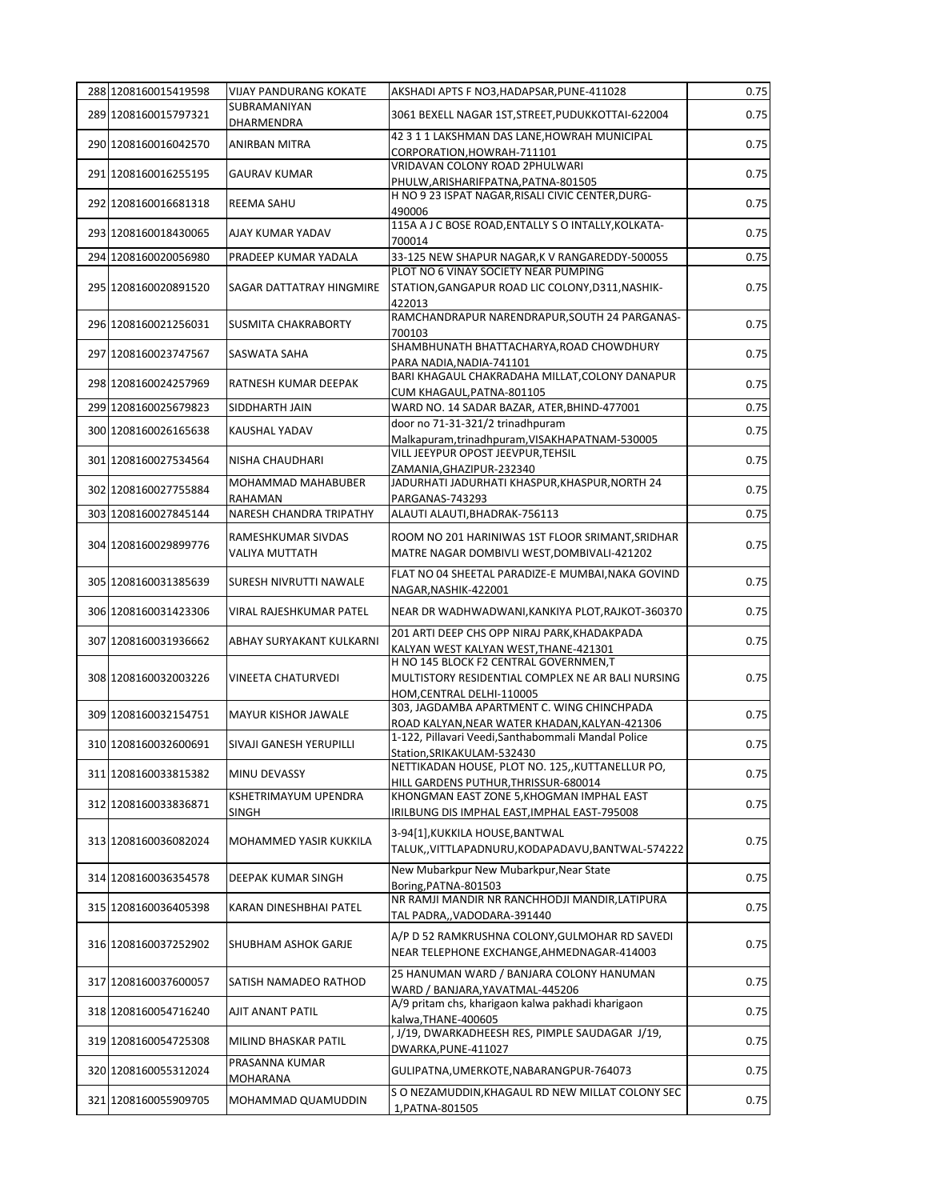| 288 1208160015419598 | <b>VIJAY PANDURANG KOKATE</b>               | AKSHADI APTS F NO3, HADAPSAR, PUNE-411028                                                                                | 0.75 |
|----------------------|---------------------------------------------|--------------------------------------------------------------------------------------------------------------------------|------|
| 289 1208160015797321 | SUBRAMANIYAN<br>DHARMENDRA                  | 3061 BEXELL NAGAR 1ST, STREET, PUDUKKOTTAI-622004                                                                        | 0.75 |
| 290 1208160016042570 | ANIRBAN MITRA                               | 42 3 1 1 LAKSHMAN DAS LANE, HOWRAH MUNICIPAL<br>CORPORATION, HOWRAH-711101                                               | 0.75 |
| 291 1208160016255195 | <b>GAURAV KUMAR</b>                         | VRIDAVAN COLONY ROAD 2PHULWARI                                                                                           | 0.75 |
| 292 1208160016681318 | REEMA SAHU                                  | PHULW, ARISHARIFPATNA, PATNA-801505<br>H NO 9 23 ISPAT NAGAR, RISALI CIVIC CENTER, DURG-<br>490006                       | 0.75 |
| 293 1208160018430065 | AJAY KUMAR YADAV                            | 115A A J C BOSE ROAD, ENTALLY S O INTALLY, KOLKATA-<br>700014                                                            | 0.75 |
| 294 1208160020056980 | PRADEEP KUMAR YADALA                        | 33-125 NEW SHAPUR NAGAR, K V RANGAREDDY-500055                                                                           | 0.75 |
| 295 1208160020891520 | SAGAR DATTATRAY HINGMIRE                    | PLOT NO 6 VINAY SOCIETY NEAR PUMPING<br>STATION, GANGAPUR ROAD LIC COLONY, D311, NASHIK-<br>422013                       | 0.75 |
| 296 1208160021256031 | <b>SUSMITA CHAKRABORTY</b>                  | RAMCHANDRAPUR NARENDRAPUR, SOUTH 24 PARGANAS-<br>700103                                                                  | 0.75 |
| 297 1208160023747567 | SASWATA SAHA                                | SHAMBHUNATH BHATTACHARYA, ROAD CHOWDHURY<br>PARA NADIA, NADIA-741101                                                     | 0.75 |
| 298 1208160024257969 | RATNESH KUMAR DEEPAK                        | BARI KHAGAUL CHAKRADAHA MILLAT, COLONY DANAPUR<br>CUM KHAGAUL, PATNA-801105                                              | 0.75 |
| 299 1208160025679823 | SIDDHARTH JAIN                              | WARD NO. 14 SADAR BAZAR, ATER, BHIND-477001                                                                              | 0.75 |
| 300 1208160026165638 | <b>KAUSHAL YADAV</b>                        | door no 71-31-321/2 trinadhpuram<br>Malkapuram,trinadhpuram,VISAKHAPATNAM-530005                                         | 0.75 |
| 301 1208160027534564 | NISHA CHAUDHARI                             | VILL JEEYPUR OPOST JEEVPUR, TEHSIL<br>ZAMANIA, GHAZIPUR-232340                                                           | 0.75 |
| 302 1208160027755884 | MOHAMMAD MAHABUBER<br>RAHAMAN               | JADURHATI JADURHATI KHASPUR, KHASPUR, NORTH 24<br>PARGANAS-743293                                                        | 0.75 |
| 303 1208160027845144 | NARESH CHANDRA TRIPATHY                     | ALAUTI ALAUTI, BHADRAK-756113                                                                                            | 0.75 |
| 304 1208160029899776 | RAMESHKUMAR SIVDAS<br><b>VALIYA MUTTATH</b> | ROOM NO 201 HARINIWAS 1ST FLOOR SRIMANT, SRIDHAR<br>MATRE NAGAR DOMBIVLI WEST, DOMBIVALI-421202                          | 0.75 |
| 305 1208160031385639 | <b>SURESH NIVRUTTI NAWALE</b>               | FLAT NO 04 SHEETAL PARADIZE-E MUMBAI, NAKA GOVIND<br>NAGAR, NASHIK-422001                                                | 0.75 |
| 306 1208160031423306 | VIRAL RAJESHKUMAR PATEL                     | NEAR DR WADHWADWANI, KANKIYA PLOT, RAJKOT-360370                                                                         | 0.75 |
| 307 1208160031936662 | ABHAY SURYAKANT KULKARNI                    | 201 ARTI DEEP CHS OPP NIRAJ PARK, KHADAKPADA<br>KALYAN WEST KALYAN WEST, THANE-421301                                    | 0.75 |
| 308 1208160032003226 | VINEETA CHATURVEDI                          | H NO 145 BLOCK F2 CENTRAL GOVERNMEN, T<br>MULTISTORY RESIDENTIAL COMPLEX NE AR BALI NURSING<br>HOM, CENTRAL DELHI-110005 | 0.75 |
| 309 1208160032154751 | <b>MAYUR KISHOR JAWALE</b>                  | 303. JAGDAMBA APARTMENT C. WING CHINCHPADA<br>ROAD KALYAN, NEAR WATER KHADAN, KALYAN-421306                              | 0.75 |
| 310 1208160032600691 | SIVAJI GANESH YERUPILLI                     | 1-122, Pillavari Veedi, Santhabommali Mandal Police<br>Station, SRIKAKULAM-532430                                        | 0.75 |
| 311 1208160033815382 | MINU DEVASSY                                | NETTIKADAN HOUSE, PLOT NO. 125,, KUTTANELLUR PO,<br>HILL GARDENS PUTHUR, THRISSUR-680014                                 | 0.75 |
| 312 1208160033836871 | KSHETRIMAYUM UPENDRA<br><b>SINGH</b>        | KHONGMAN EAST ZONE 5, KHOGMAN IMPHAL EAST<br>IRILBUNG DIS IMPHAL EAST,IMPHAL EAST-795008                                 | 0.75 |
| 313 1208160036082024 | MOHAMMED YASIR KUKKILA                      | 3-94[1], KUKKILA HOUSE, BANTWAL<br>TALUK,, VITTLAPADNURU, KODAPADAVU, BANTWAL-574222                                     | 0.75 |
| 314 1208160036354578 | DEEPAK KUMAR SINGH                          | New Mubarkpur New Mubarkpur, Near State<br>Boring, PATNA-801503                                                          | 0.75 |
| 315 1208160036405398 | KARAN DINESHBHAI PATEL                      | NR RAMJI MANDIR NR RANCHHODJI MANDIR, LATIPURA<br>TAL PADRA,,VADODARA-391440                                             | 0.75 |
| 316 1208160037252902 | <b>SHUBHAM ASHOK GARJE</b>                  | A/P D 52 RAMKRUSHNA COLONY, GULMOHAR RD SAVEDI<br>NEAR TELEPHONE EXCHANGE, AHMEDNAGAR-414003                             | 0.75 |
| 317 1208160037600057 | SATISH NAMADEO RATHOD                       | 25 HANUMAN WARD / BANJARA COLONY HANUMAN<br>WARD / BANJARA, YAVATMAL-445206                                              | 0.75 |
| 318 1208160054716240 | AJIT ANANT PATIL                            | A/9 pritam chs, kharigaon kalwa pakhadi kharigaon<br>kalwa, THANE-400605                                                 | 0.75 |
| 319 1208160054725308 | MILIND BHASKAR PATIL                        | J/19, DWARKADHEESH RES, PIMPLE SAUDAGAR J/19,<br>DWARKA, PUNE-411027                                                     | 0.75 |
| 320 1208160055312024 | PRASANNA KUMAR<br>MOHARANA                  | GULIPATNA, UMERKOTE, NABARANGPUR-764073                                                                                  | 0.75 |
| 321 1208160055909705 | MOHAMMAD QUAMUDDIN                          | S O NEZAMUDDIN, KHAGAUL RD NEW MILLAT COLONY SEC<br>1, PATNA-801505                                                      | 0.75 |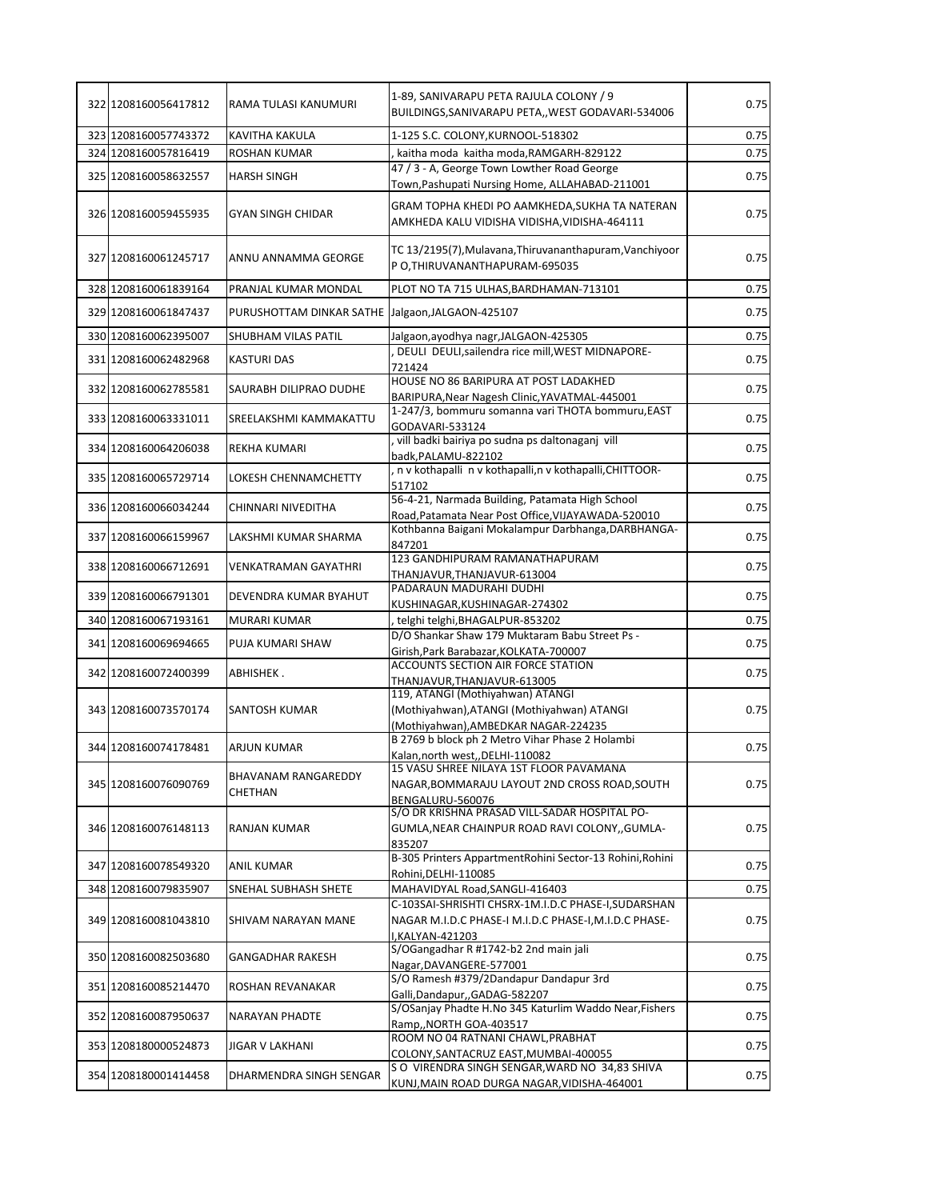| 322 1208160056417812 | RAMA TULASI KANUMURI                             | 1-89, SANIVARAPU PETA RAJULA COLONY / 9<br>BUILDINGS, SANIVARAPU PETA, , WEST GODAVARI-534006  | 0.75 |
|----------------------|--------------------------------------------------|------------------------------------------------------------------------------------------------|------|
| 323 1208160057743372 | <b>KAVITHA KAKULA</b>                            | 1-125 S.C. COLONY, KURNOOL-518302                                                              | 0.75 |
| 324 1208160057816419 | <b>ROSHAN KUMAR</b>                              | kaitha moda kaitha moda, RAMGARH-829122                                                        | 0.75 |
| 325 1208160058632557 | <b>HARSH SINGH</b>                               | 47 / 3 - A, George Town Lowther Road George                                                    | 0.75 |
|                      |                                                  | Town, Pashupati Nursing Home, ALLAHABAD-211001                                                 |      |
| 326 1208160059455935 | <b>GYAN SINGH CHIDAR</b>                         | GRAM TOPHA KHEDI PO AAMKHEDA, SUKHA TA NATERAN<br>AMKHEDA KALU VIDISHA VIDISHA, VIDISHA-464111 | 0.75 |
| 327 1208160061245717 | ANNU ANNAMMA GEORGE                              | TC 13/2195(7), Mulavana, Thiruvananthapuram, Vanchiyoor<br>P O.THIRUVANANTHAPURAM-695035       | 0.75 |
| 328 1208160061839164 | PRANJAL KUMAR MONDAL                             | PLOT NO TA 715 ULHAS, BARDHAMAN-713101                                                         | 0.75 |
| 329 1208160061847437 | PURUSHOTTAM DINKAR SATHE Jalgaon, JALGAON-425107 |                                                                                                | 0.75 |
| 330 1208160062395007 | SHUBHAM VILAS PATIL                              | Jalgaon, ayodhya nagr, JALGAON-425305                                                          | 0.75 |
| 331 1208160062482968 | <b>KASTURI DAS</b>                               | DEULI DEULI, sailendra rice mill, WEST MIDNAPORE-<br>721424                                    | 0.75 |
| 332 1208160062785581 | SAURABH DILIPRAO DUDHE                           | HOUSE NO 86 BARIPURA AT POST LADAKHED<br>BARIPURA, Near Nagesh Clinic, YAVATMAL-445001         | 0.75 |
| 333 1208160063331011 | SREELAKSHMI KAMMAKATTU                           | 1-247/3, bommuru somanna vari THOTA bommuru, EAST                                              | 0.75 |
|                      |                                                  | GODAVARI-533124<br>vill badki bairiya po sudna ps daltonaganj vill                             |      |
| 334 1208160064206038 | <b>REKHA KUMARI</b>                              | badk, PALAMU-822102                                                                            | 0.75 |
| 335 1208160065729714 | LOKESH CHENNAMCHETTY                             | n v kothapalli n v kothapalli, n v kothapalli, CHITTOOR-<br>517102                             | 0.75 |
| 336 1208160066034244 | CHINNARI NIVEDITHA                               | 56-4-21, Narmada Building, Patamata High School                                                | 0.75 |
|                      |                                                  | Road, Patamata Near Post Office, VIJAYAWADA-520010                                             |      |
| 337 1208160066159967 | LAKSHMI KUMAR SHARMA                             | Kothbanna Baigani Mokalampur Darbhanga, DARBHANGA-<br>847201                                   | 0.75 |
| 338 1208160066712691 | <b>VENKATRAMAN GAYATHRI</b>                      | 123 GANDHIPURAM RAMANATHAPURAM<br>THANJAVUR, THANJAVUR-613004                                  | 0.75 |
| 339 1208160066791301 | DEVENDRA KUMAR BYAHUT                            | PADARAUN MADURAHI DUDHI                                                                        | 0.75 |
| 340 1208160067193161 | <b>MURARI KUMAR</b>                              | KUSHINAGAR, KUSHINAGAR-274302<br>telghi telghi, BHAGALPUR-853202                               | 0.75 |
|                      |                                                  | D/O Shankar Shaw 179 Muktaram Babu Street Ps -                                                 |      |
| 341 1208160069694665 | PUJA KUMARI SHAW                                 | Girish, Park Barabazar, KOLKATA-700007                                                         | 0.75 |
| 342 1208160072400399 | ABHISHEK.                                        | ACCOUNTS SECTION AIR FORCE STATION                                                             | 0.75 |
|                      |                                                  | THANJAVUR, THANJAVUR-613005<br>119, ATANGI (Mothiyahwan) ATANGI                                |      |
| 343 1208160073570174 | <b>SANTOSH KUMAR</b>                             | (Mothiyahwan), ATANGI (Mothiyahwan) ATANGI<br>(Mothiyahwan), AMBEDKAR NAGAR-224235             | 0.75 |
|                      |                                                  | B 2769 b block ph 2 Metro Vihar Phase 2 Holambi                                                |      |
| 344 1208160074178481 | ARJUN KUMAR                                      | Kalan, north west, , DELHI-110082                                                              | 0.75 |
|                      | <b>BHAVANAM RANGAREDDY</b>                       | 15 VASU SHREE NILAYA 1ST FLOOR PAVAMANA                                                        |      |
| 345 1208160076090769 | CHETHAN                                          | NAGAR, BOMMARAJU LAYOUT 2ND CROSS ROAD, SOUTH<br>BENGALURU-560076                              | 0.75 |
|                      |                                                  | S/O DR KRISHNA PRASAD VILL-SADAR HOSPITAL PO-                                                  |      |
| 346 1208160076148113 | RANJAN KUMAR                                     | GUMLA, NEAR CHAINPUR ROAD RAVI COLONY, GUMLA-                                                  | 0.75 |
|                      |                                                  | 835207<br>B-305 Printers AppartmentRohini Sector-13 Rohini, Rohini                             |      |
| 347 1208160078549320 | ANIL KUMAR                                       | Rohini, DELHI-110085                                                                           | 0.75 |
| 348 1208160079835907 | SNEHAL SUBHASH SHETE                             | MAHAVIDYAL Road, SANGLI-416403                                                                 | 0.75 |
|                      |                                                  | C-103SAI-SHRISHTI CHSRX-1M.I.D.C PHASE-I, SUDARSHAN                                            |      |
| 349 1208160081043810 | SHIVAM NARAYAN MANE                              | NAGAR M.I.D.C PHASE-I M.I.D.C PHASE-I, M.I.D.C PHASE-<br>I,KALYAN-421203                       | 0.75 |
|                      |                                                  | S/OGangadhar R #1742-b2 2nd main jali                                                          |      |
| 350 1208160082503680 | <b>GANGADHAR RAKESH</b>                          | Nagar, DAVANGERE-577001                                                                        | 0.75 |
| 351 1208160085214470 | ROSHAN REVANAKAR                                 | S/O Ramesh #379/2Dandapur Dandapur 3rd<br>Galli, Dandapur, , GADAG-582207                      | 0.75 |
| 352 1208160087950637 | <b>NARAYAN PHADTE</b>                            | S/OSanjay Phadte H.No 345 Katurlim Waddo Near, Fishers                                         | 0.75 |
|                      |                                                  | Ramp,, NORTH GOA-403517<br>ROOM NO 04 RATNANI CHAWL, PRABHAT                                   |      |
| 353 1208180000524873 | <b>JIGAR V LAKHANI</b>                           | COLONY, SANTACRUZ EAST, MUMBAI-400055                                                          | 0.75 |
| 354 1208180001414458 | DHARMENDRA SINGH SENGAR                          | S O VIRENDRA SINGH SENGAR, WARD NO 34,83 SHIVA                                                 | 0.75 |
|                      |                                                  | KUNJ, MAIN ROAD DURGA NAGAR, VIDISHA-464001                                                    |      |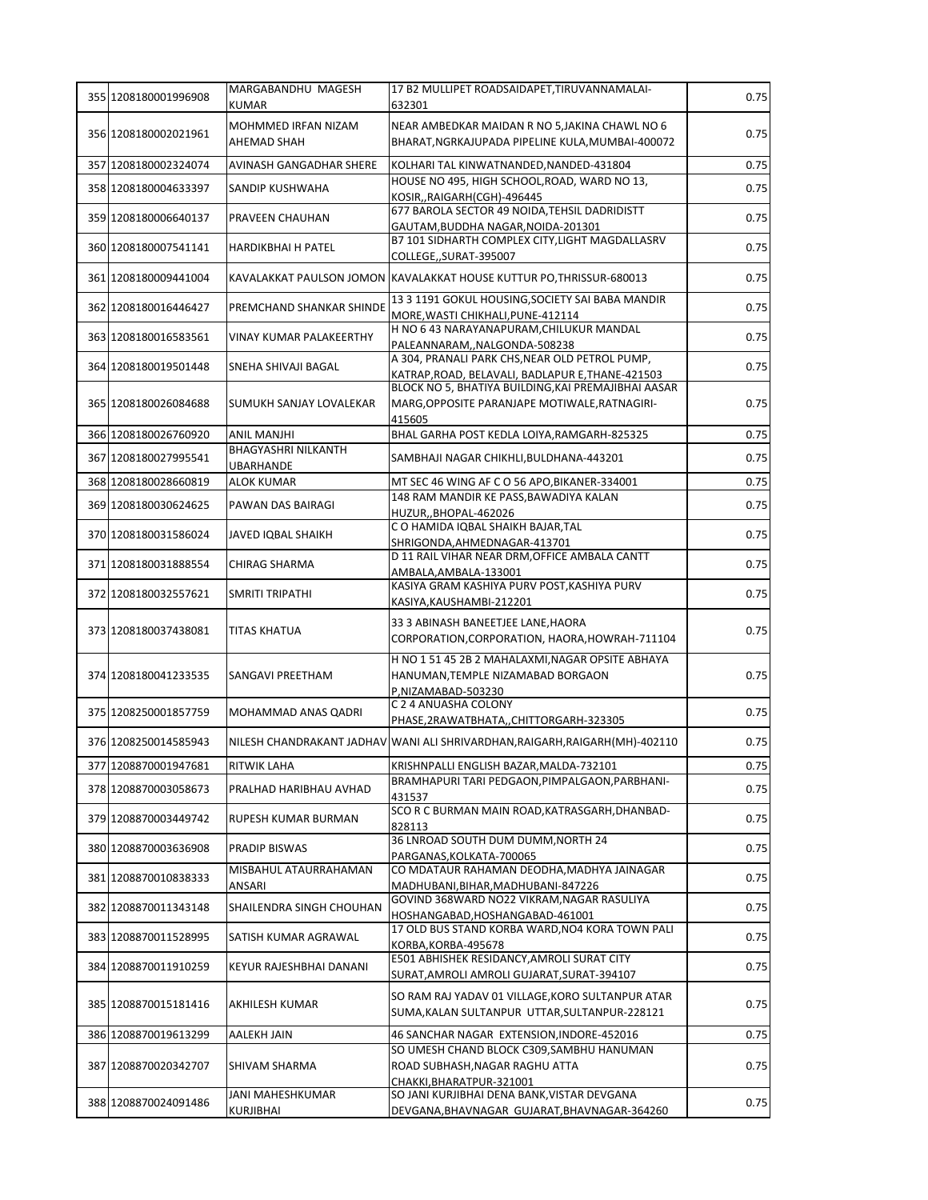| 355 1208180001996908 | MARGABANDHU MAGESH                      | 17 B2 MULLIPET ROADSAIDAPET, TIRUVANNAMALAI-                                                                            | 0.75 |
|----------------------|-----------------------------------------|-------------------------------------------------------------------------------------------------------------------------|------|
|                      | <b>KUMAR</b>                            | 632301                                                                                                                  |      |
| 356 1208180002021961 | MOHMMED IRFAN NIZAM                     | NEAR AMBEDKAR MAIDAN R NO 5, JAKINA CHAWL NO 6                                                                          | 0.75 |
|                      | AHEMAD SHAH                             | BHARAT, NGRKAJUPADA PIPELINE KULA, MUMBAI-400072                                                                        |      |
| 357 1208180002324074 | AVINASH GANGADHAR SHERE                 | KOLHARI TAL KINWATNANDED, NANDED-431804                                                                                 | 0.75 |
| 358 1208180004633397 | SANDIP KUSHWAHA                         | HOUSE NO 495, HIGH SCHOOL, ROAD, WARD NO 13,<br>KOSIR, RAIGARH (CGH)-496445                                             | 0.75 |
| 359 1208180006640137 | PRAVEEN CHAUHAN                         | 677 BAROLA SECTOR 49 NOIDA, TEHSIL DADRIDISTT<br>GAUTAM, BUDDHA NAGAR, NOIDA-201301                                     | 0.75 |
| 360 1208180007541141 | HARDIKBHAI H PATEL                      | B7 101 SIDHARTH COMPLEX CITY, LIGHT MAGDALLASRV<br>COLLEGE,,SURAT-395007                                                | 0.75 |
| 361 1208180009441004 |                                         | KAVALAKKAT PAULSON JOMON KAVALAKKAT HOUSE KUTTUR PO, THRISSUR-680013                                                    | 0.75 |
| 362 1208180016446427 | PREMCHAND SHANKAR SHINDE                | 13 3 1191 GOKUL HOUSING, SOCIETY SAI BABA MANDIR<br>MORE, WASTI CHIKHALI, PUNE-412114                                   | 0.75 |
| 363 1208180016583561 | VINAY KUMAR PALAKEERTHY                 | H NO 6 43 NARAYANAPURAM, CHILUKUR MANDAL<br>PALEANNARAM,,NALGONDA-508238                                                | 0.75 |
| 364 1208180019501448 | SNEHA SHIVAJI BAGAL                     | A 304, PRANALI PARK CHS, NEAR OLD PETROL PUMP,<br>KATRAP, ROAD, BELAVALI, BADLAPUR E, THANE-421503                      | 0.75 |
| 365 1208180026084688 | SUMUKH SANJAY LOVALEKAR                 | BLOCK NO 5, BHATIYA BUILDING, KAI PREMAJIBHAI AASAR<br>MARG, OPPOSITE PARANJAPE MOTIWALE, RATNAGIRI-<br>415605          | 0.75 |
| 366 1208180026760920 | <b>ANIL MANJHI</b>                      | BHAL GARHA POST KEDLA LOIYA, RAMGARH-825325                                                                             | 0.75 |
| 367 1208180027995541 | <b>BHAGYASHRI NILKANTH</b><br>UBARHANDE | SAMBHAJI NAGAR CHIKHLI, BULDHANA-443201                                                                                 | 0.75 |
| 368 1208180028660819 | <b>ALOK KUMAR</b>                       | MT SEC 46 WING AF C O 56 APO, BIKANER-334001                                                                            | 0.75 |
| 369 1208180030624625 | PAWAN DAS BAIRAGI                       | 148 RAM MANDIR KE PASS, BAWADIYA KALAN                                                                                  | 0.75 |
| 370 1208180031586024 | JAVED IQBAL SHAIKH                      | HUZUR,, BHOPAL-462026<br>C O HAMIDA IQBAL SHAIKH BAJAR, TAL<br>SHRIGONDA, AHMEDNAGAR-413701                             | 0.75 |
| 371 1208180031888554 | CHIRAG SHARMA                           | D 11 RAIL VIHAR NEAR DRM, OFFICE AMBALA CANTT                                                                           | 0.75 |
|                      |                                         | AMBALA, AMBALA-133001<br>KASIYA GRAM KASHIYA PURV POST, KASHIYA PURV                                                    |      |
| 372 1208180032557621 | SMRITI TRIPATHI                         | KASIYA, KAUSHAMBI-212201                                                                                                | 0.75 |
| 373 1208180037438081 | <b>TITAS KHATUA</b>                     | 33 3 ABINASH BANEETJEE LANE, HAORA<br>CORPORATION, CORPORATION, HAORA, HOWRAH-711104                                    | 0.75 |
| 374 1208180041233535 | SANGAVI PREETHAM                        | H NO 1 51 45 2B 2 MAHALAXMI, NAGAR OPSITE ABHAYA<br>HANUMAN, TEMPLE NIZAMABAD BORGAON<br>P,NIZAMABAD-503230             | 0.75 |
| 375 1208250001857759 | MOHAMMAD ANAS QADRI                     | C 2 4 ANUASHA COLONY<br>PHASE, 2RAWATBHATA, , CHITTORGARH-323305                                                        | 0.75 |
| 376 1208250014585943 |                                         | NILESH CHANDRAKANT JADHAV WANI ALI SHRIVARDHAN, RAIGARH, RAIGARH (MH)-402110                                            | 0.75 |
| 377 1208870001947681 | RITWIK LAHA                             | KRISHNPALLI ENGLISH BAZAR, MALDA-732101                                                                                 | 0.75 |
| 378 1208870003058673 | PRALHAD HARIBHAU AVHAD                  | BRAMHAPURI TARI PEDGAON, PIMPALGAON, PARBHANI-<br>431537                                                                | 0.75 |
| 379 1208870003449742 | RUPESH KUMAR BURMAN                     | SCO R C BURMAN MAIN ROAD, KATRASGARH, DHANBAD-<br>828113                                                                | 0.75 |
| 380 1208870003636908 | PRADIP BISWAS                           | 36 LNROAD SOUTH DUM DUMM, NORTH 24<br>PARGANAS, KOLKATA-700065                                                          | 0.75 |
| 381 1208870010838333 | MISBAHUL ATAURRAHAMAN<br>ANSARI         | CO MDATAUR RAHAMAN DEODHA, MADHYA JAINAGAR<br>MADHUBANI, BIHAR, MADHUBANI-847226                                        | 0.75 |
| 382 1208870011343148 | SHAILENDRA SINGH CHOUHAN                | GOVIND 368WARD NO22 VIKRAM, NAGAR RASULIYA<br>HOSHANGABAD, HOSHANGABAD-461001                                           | 0.75 |
| 383 1208870011528995 | SATISH KUMAR AGRAWAL                    | 17 OLD BUS STAND KORBA WARD, NO4 KORA TOWN PALI<br>KORBA, KORBA-495678                                                  | 0.75 |
| 384 1208870011910259 | KEYUR RAJESHBHAI DANANI                 | E501 ABHISHEK RESIDANCY, AMROLI SURAT CITY<br>SURAT, AMROLI AMROLI GUJARAT, SURAT-394107                                | 0.75 |
| 385 1208870015181416 | AKHILESH KUMAR                          | SO RAM RAJ YADAV 01 VILLAGE, KORO SULTANPUR ATAR<br>SUMA, KALAN SULTANPUR UTTAR, SULTANPUR-228121                       | 0.75 |
| 386 1208870019613299 | AALEKH JAIN                             | 46 SANCHAR NAGAR EXTENSION, INDORE-452016                                                                               | 0.75 |
| 387 1208870020342707 | SHIVAM SHARMA                           | SO UMESH CHAND BLOCK C309, SAMBHU HANUMAN<br>ROAD SUBHASH, NAGAR RAGHU ATTA                                             | 0.75 |
| 388 1208870024091486 | JANI MAHESHKUMAR<br>KURJIBHAI           | CHAKKI, BHARATPUR-321001<br>SO JANI KURJIBHAI DENA BANK, VISTAR DEVGANA<br>DEVGANA, BHAVNAGAR GUJARAT, BHAVNAGAR-364260 | 0.75 |
|                      |                                         |                                                                                                                         |      |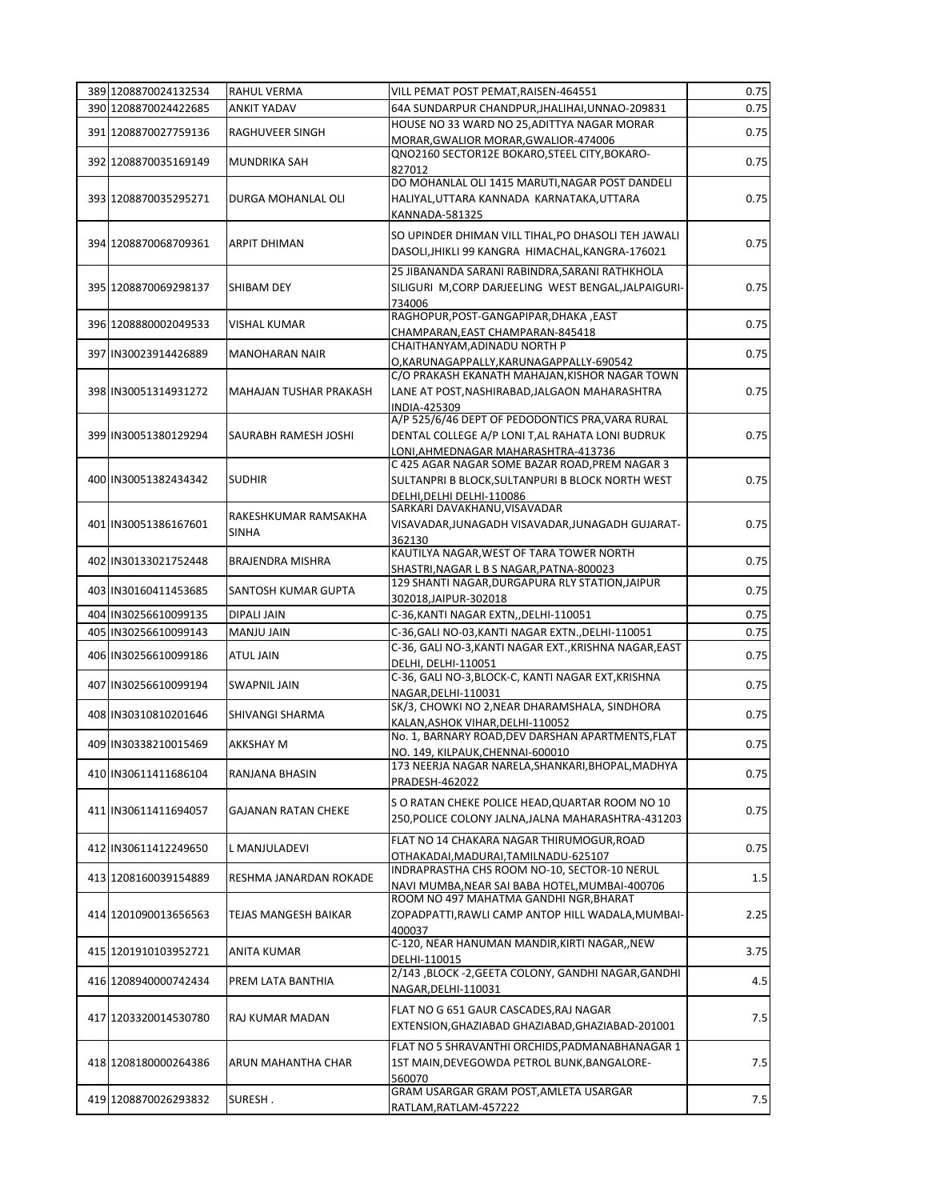| 389 1208870024132534 | RAHUL VERMA                 | VILL PEMAT POST PEMAT, RAISEN-464551                                                     | 0.75 |
|----------------------|-----------------------------|------------------------------------------------------------------------------------------|------|
| 390 1208870024422685 | <b>ANKIT YADAV</b>          | 64A SUNDARPUR CHANDPUR, JHALIHAI, UNNAO-209831                                           | 0.75 |
| 391 1208870027759136 | RAGHUVEER SINGH             | HOUSE NO 33 WARD NO 25, ADITTYA NAGAR MORAR                                              | 0.75 |
|                      |                             | MORAR, GWALIOR MORAR, GWALIOR-474006<br>QNO2160 SECTOR12E BOKARO, STEEL CITY, BOKARO-    |      |
| 392 1208870035169149 | <b>MUNDRIKA SAH</b>         | 827012                                                                                   | 0.75 |
|                      |                             | DO MOHANLAL OLI 1415 MARUTI, NAGAR POST DANDELI                                          |      |
| 393 1208870035295271 | DURGA MOHANLAL OLI          | HALIYAL, UTTARA KANNADA KARNATAKA, UTTARA                                                | 0.75 |
|                      |                             | KANNADA-581325                                                                           |      |
|                      |                             | SO UPINDER DHIMAN VILL TIHAL, PO DHASOLI TEH JAWALI                                      |      |
| 394 1208870068709361 | <b>ARPIT DHIMAN</b>         | DASOLI, JHIKLI 99 KANGRA HIMACHAL, KANGRA-176021                                         | 0.75 |
|                      |                             | 25 JIBANANDA SARANI RABINDRA, SARANI RATHKHOLA                                           |      |
| 395 1208870069298137 | <b>SHIBAM DEY</b>           | SILIGURI M, CORP DARJEELING WEST BENGAL, JALPAIGURI-                                     | 0.75 |
|                      |                             | 734006                                                                                   |      |
| 396 1208880002049533 | <b>VISHAL KUMAR</b>         | RAGHOPUR, POST-GANGAPIPAR, DHAKA, EAST                                                   | 0.75 |
|                      |                             | CHAMPARAN, EAST CHAMPARAN-845418<br>CHAITHANYAM, ADINADU NORTH P                         |      |
| 397 IN30023914426889 | <b>MANOHARAN NAIR</b>       | O,KARUNAGAPPALLY,KARUNAGAPPALLY-690542                                                   | 0.75 |
|                      |                             | C/O PRAKASH EKANATH MAHAJAN, KISHOR NAGAR TOWN                                           |      |
| 398 IN30051314931272 | MAHAJAN TUSHAR PRAKASH      | LANE AT POST, NASHIRABAD, JALGAON MAHARASHTRA                                            | 0.75 |
|                      |                             | INDIA-425309                                                                             |      |
|                      |                             | A/P 525/6/46 DEPT OF PEDODONTICS PRA, VARA RURAL                                         |      |
| 399 IN30051380129294 | <b>SAURABH RAMESH JOSHI</b> | DENTAL COLLEGE A/P LONI T, AL RAHATA LONI BUDRUK                                         | 0.75 |
|                      |                             | LONI,AHMEDNAGAR MAHARASHTRA-413736<br>C 425 AGAR NAGAR SOME BAZAR ROAD, PREM NAGAR 3     |      |
| 400 IN30051382434342 | <b>SUDHIR</b>               | SULTANPRI B BLOCK, SULTANPURI B BLOCK NORTH WEST                                         | 0.75 |
|                      |                             | DELHI, DELHI DELHI-110086                                                                |      |
|                      | RAKESHKUMAR RAMSAKHA        | SARKARI DAVAKHANU, VISAVADAR                                                             |      |
| 401 IN30051386167601 | <b>SINHA</b>                | VISAVADAR, JUNAGADH VISAVADAR, JUNAGADH GUJARAT-                                         | 0.75 |
|                      |                             | 362130<br>KAUTILYA NAGAR, WEST OF TARA TOWER NORTH                                       |      |
| 402 IN30133021752448 | <b>BRAJENDRA MISHRA</b>     | SHASTRI, NAGAR L B S NAGAR, PATNA-800023                                                 | 0.75 |
|                      |                             | 129 SHANTI NAGAR, DURGAPURA RLY STATION, JAIPUR                                          |      |
| 403 IN30160411453685 | SANTOSH KUMAR GUPTA         | 302018, JAIPUR-302018                                                                    | 0.75 |
| 404 IN30256610099135 | DIPALI JAIN                 | C-36, KANTI NAGAR EXTN,, DELHI-110051                                                    | 0.75 |
| 405 IN30256610099143 | <b>MANJU JAIN</b>           | C-36, GALI NO-03, KANTI NAGAR EXTN., DELHI-110051                                        | 0.75 |
| 406 IN30256610099186 | <b>ATUL JAIN</b>            | C-36, GALI NO-3, KANTI NAGAR EXT., KRISHNA NAGAR, EAST                                   | 0.75 |
|                      |                             | DELHI, DELHI-110051<br>C-36, GALI NO-3, BLOCK-C, KANTI NAGAR EXT, KRISHNA                |      |
| 407 IN30256610099194 | <b>SWAPNIL JAIN</b>         | NAGAR, DELHI-110031                                                                      | 0.75 |
|                      |                             | SK/3, CHOWKI NO 2, NEAR DHARAMSHALA, SINDHORA                                            |      |
| 408 IN30310810201646 | SHIVANGI SHARMA             | KALAN, ASHOK VIHAR, DELHI-110052                                                         | 0.75 |
| 409 IN30338210015469 | <b>AKKSHAY M</b>            | No. 1, BARNARY ROAD, DEV DARSHAN APARTMENTS, FLAT                                        | 0.75 |
|                      |                             | NO. 149, KILPAUK, CHENNAI-600010                                                         |      |
| 410 IN30611411686104 | RANJANA BHASIN              | 173 NEERJA NAGAR NARELA, SHANKARI, BHOPAL, MADHYA                                        | 0.75 |
|                      |                             | PRADESH-462022                                                                           |      |
| 411 IN30611411694057 | GAJANAN RATAN CHEKE         | S O RATAN CHEKE POLICE HEAD, QUARTAR ROOM NO 10                                          | 0.75 |
|                      |                             | 250, POLICE COLONY JALNA, JALNA MAHARASHTRA-431203                                       |      |
| 412 IN30611412249650 | L MANJULADEVI               | FLAT NO 14 CHAKARA NAGAR THIRUMOGUR, ROAD                                                | 0.75 |
|                      |                             | OTHAKADAI, MADURAI, TAMILNADU-625107                                                     |      |
| 413 1208160039154889 | RESHMA JANARDAN ROKADE      | INDRAPRASTHA CHS ROOM NO-10, SECTOR-10 NERUL                                             | 1.5  |
|                      |                             | NAVI MUMBA, NEAR SAI BABA HOTEL, MUMBAI-400706<br>ROOM NO 497 MAHATMA GANDHI NGR, BHARAT |      |
| 414 1201090013656563 | TEJAS MANGESH BAIKAR        | ZOPADPATTI, RAWLI CAMP ANTOP HILL WADALA, MUMBAI-                                        | 2.25 |
|                      |                             | 400037                                                                                   |      |
| 415 1201910103952721 | <b>ANITA KUMAR</b>          | C-120, NEAR HANUMAN MANDIR, KIRTI NAGAR, , NEW                                           | 3.75 |
|                      |                             | DELHI-110015                                                                             |      |
| 416 1208940000742434 | PREM LATA BANTHIA           | 2/143 ,BLOCK -2,GEETA COLONY, GANDHI NAGAR,GANDHI                                        | 4.5  |
|                      |                             | NAGAR, DELHI-110031                                                                      |      |
| 417 1203320014530780 | RAJ KUMAR MADAN             | FLAT NO G 651 GAUR CASCADES, RAJ NAGAR                                                   | 7.5  |
|                      |                             | EXTENSION, GHAZIABAD GHAZIABAD, GHAZIABAD-201001                                         |      |
|                      |                             | FLAT NO 5 SHRAVANTHI ORCHIDS, PADMANABHANAGAR 1                                          |      |
| 418 1208180000264386 | ARUN MAHANTHA CHAR          | 1ST MAIN, DEVEGOWDA PETROL BUNK, BANGALORE-                                              | 7.5  |
|                      |                             | 560070                                                                                   |      |
| 419 1208870026293832 | SURESH.                     | GRAM USARGAR GRAM POST, AMLETA USARGAR                                                   | 7.5  |
|                      |                             | RATLAM, RATLAM-457222                                                                    |      |